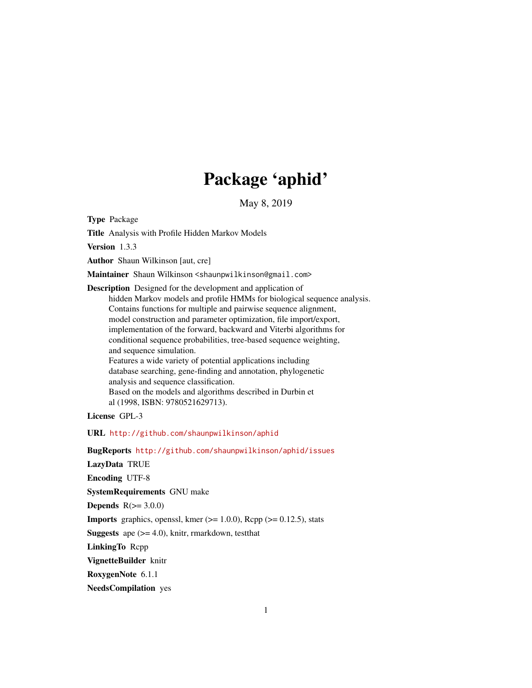# Package 'aphid'

May 8, 2019

<span id="page-0-0"></span>Type Package

Title Analysis with Profile Hidden Markov Models

Version 1.3.3

Author Shaun Wilkinson [aut, cre]

Maintainer Shaun Wilkinson <shaunpwilkinson@gmail.com>

Description Designed for the development and application of hidden Markov models and profile HMMs for biological sequence analysis. Contains functions for multiple and pairwise sequence alignment, model construction and parameter optimization, file import/export, implementation of the forward, backward and Viterbi algorithms for conditional sequence probabilities, tree-based sequence weighting, and sequence simulation. Features a wide variety of potential applications including database searching, gene-finding and annotation, phylogenetic analysis and sequence classification. Based on the models and algorithms described in Durbin et al (1998, ISBN: 9780521629713).

License GPL-3

URL <http://github.com/shaunpwilkinson/aphid>

BugReports <http://github.com/shaunpwilkinson/aphid/issues> LazyData TRUE Encoding UTF-8 SystemRequirements GNU make Depends  $R(>= 3.0.0)$ **Imports** graphics, openssl, kmer  $(>= 1.0.0)$ , Rcpp  $(>= 0.12.5)$ , stats **Suggests** ape  $(>= 4.0)$ , knitr, rmarkdown, test that LinkingTo Rcpp VignetteBuilder knitr RoxygenNote 6.1.1

NeedsCompilation yes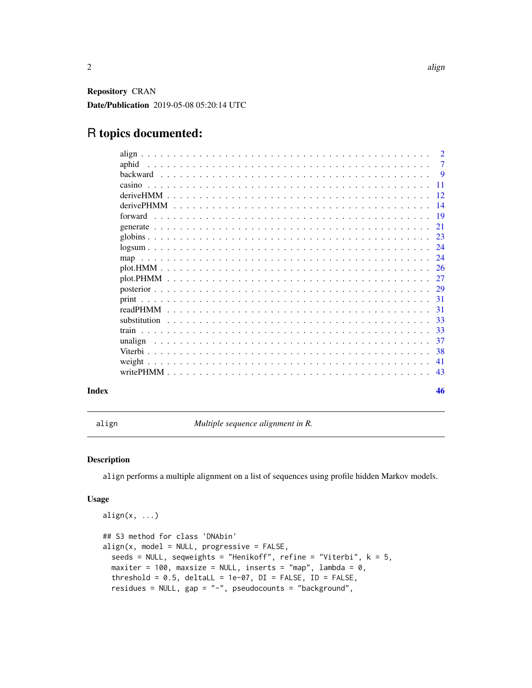<span id="page-1-0"></span>Repository CRAN Date/Publication 2019-05-08 05:20:14 UTC

# R topics documented:

| aphid             |  |  |  |  |  |  |  |  |  |  |  |  |  |  |  |  |  |  |                |  |
|-------------------|--|--|--|--|--|--|--|--|--|--|--|--|--|--|--|--|--|--|----------------|--|
|                   |  |  |  |  |  |  |  |  |  |  |  |  |  |  |  |  |  |  | $\overline{7}$ |  |
|                   |  |  |  |  |  |  |  |  |  |  |  |  |  |  |  |  |  |  |                |  |
| casino            |  |  |  |  |  |  |  |  |  |  |  |  |  |  |  |  |  |  |                |  |
|                   |  |  |  |  |  |  |  |  |  |  |  |  |  |  |  |  |  |  |                |  |
| <i>derivePHMM</i> |  |  |  |  |  |  |  |  |  |  |  |  |  |  |  |  |  |  |                |  |
|                   |  |  |  |  |  |  |  |  |  |  |  |  |  |  |  |  |  |  |                |  |
|                   |  |  |  |  |  |  |  |  |  |  |  |  |  |  |  |  |  |  | 21             |  |
|                   |  |  |  |  |  |  |  |  |  |  |  |  |  |  |  |  |  |  |                |  |
|                   |  |  |  |  |  |  |  |  |  |  |  |  |  |  |  |  |  |  |                |  |
|                   |  |  |  |  |  |  |  |  |  |  |  |  |  |  |  |  |  |  |                |  |
| $plot. HMM$       |  |  |  |  |  |  |  |  |  |  |  |  |  |  |  |  |  |  | -26            |  |
|                   |  |  |  |  |  |  |  |  |  |  |  |  |  |  |  |  |  |  |                |  |
|                   |  |  |  |  |  |  |  |  |  |  |  |  |  |  |  |  |  |  |                |  |
|                   |  |  |  |  |  |  |  |  |  |  |  |  |  |  |  |  |  |  | 31             |  |
|                   |  |  |  |  |  |  |  |  |  |  |  |  |  |  |  |  |  |  | -31            |  |
|                   |  |  |  |  |  |  |  |  |  |  |  |  |  |  |  |  |  |  | -33            |  |
| train             |  |  |  |  |  |  |  |  |  |  |  |  |  |  |  |  |  |  | -33            |  |
| unalign           |  |  |  |  |  |  |  |  |  |  |  |  |  |  |  |  |  |  | -37            |  |
|                   |  |  |  |  |  |  |  |  |  |  |  |  |  |  |  |  |  |  | 38             |  |
|                   |  |  |  |  |  |  |  |  |  |  |  |  |  |  |  |  |  |  | -41            |  |
|                   |  |  |  |  |  |  |  |  |  |  |  |  |  |  |  |  |  |  | -43            |  |
|                   |  |  |  |  |  |  |  |  |  |  |  |  |  |  |  |  |  |  | 46             |  |

<span id="page-1-1"></span>align *Multiple sequence alignment in R.*

# Description

align performs a multiple alignment on a list of sequences using profile hidden Markov models.

# Usage

```
align(x, \ldots)## S3 method for class 'DNAbin'
align(x, model = NULL, progressive = FALSE,seeds = NULL, seqweights = "Henikoff", refine = "Viterbi", k = 5,
 maxiter = 100, maxsize = NULL, inserts = "map", lambda = 0,
  threshold = 0.5, deltaLL = 1e-07, DI = FALSE, ID = FALSE,
  residues = NULL, gap = "-", pseudocounts = "background",
```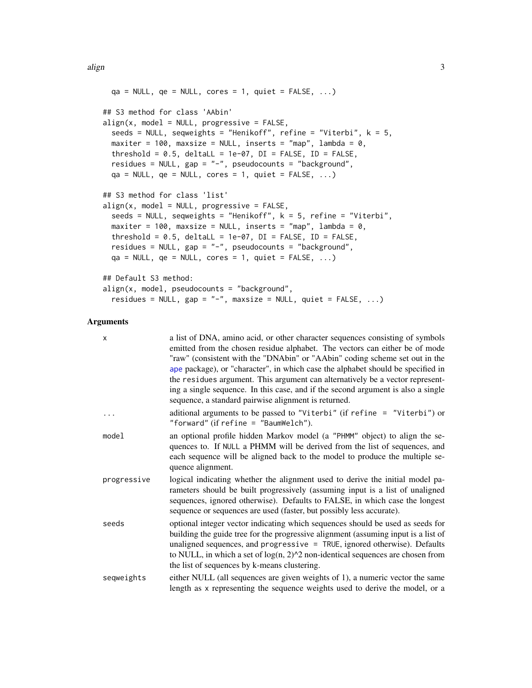<span id="page-2-0"></span>align 3

```
qa = NULL, qe = NULL, cores = 1, quiet = FALSE, ...)
## S3 method for class 'AAbin'
align(x, model = NULL, progressive = FALSE,seeds = NULL, seqweights = "Henikoff", refine = "Viterbi", k = 5,
 maxiter = 100, maxsize = NULL, inserts = "map", lambda = 0,
 threshold = 0.5, deltaLL = 1e-07, DI = FALSE, ID = FALSE,
 residues = NULL, gap = "-", pseudocounts = "background",
 qa = NULL, qe = NULL, cores = 1, quiet = FALSE, ...)
## S3 method for class 'list'
align(x, model = NULL, progressive = FALSE,seeds = NULL, seqweights = "Henikoff", k = 5, refine = "Viterbi",
 maxiter = 100, maxsize = NULL, inserts = "map", lambda = 0,
 threshold = 0.5, deltaLL = 1e-07, DI = FALSE, ID = FALSE,
 residues = NULL, gap = "-", pseudocounts = "background",
 qa = NULL, qe = NULL, cores = 1, quiet = FALSE, ...)
## Default S3 method:
align(x, model, pseudocounts = "background",residues = NULL, gap = "-", maxsize = NULL, quiet = FALSE, ...)
```
# Arguments

| X           | a list of DNA, amino acid, or other character sequences consisting of symbols<br>emitted from the chosen residue alphabet. The vectors can either be of mode<br>"raw" (consistent with the "DNAbin" or "AAbin" coding scheme set out in the<br>ape package), or "character", in which case the alphabet should be specified in<br>the residues argument. This argument can alternatively be a vector represent-<br>ing a single sequence. In this case, and if the second argument is also a single<br>sequence, a standard pairwise alignment is returned. |
|-------------|-------------------------------------------------------------------------------------------------------------------------------------------------------------------------------------------------------------------------------------------------------------------------------------------------------------------------------------------------------------------------------------------------------------------------------------------------------------------------------------------------------------------------------------------------------------|
| $\ddots$    | aditional arguments to be passed to "Viterbi" (if refine $=$ "Viterbi") or<br>"forward" (if refine $=$ "BaumWelch").                                                                                                                                                                                                                                                                                                                                                                                                                                        |
| model       | an optional profile hidden Markov model (a "PHMM" object) to align the se-<br>quences to. If NULL a PHMM will be derived from the list of sequences, and<br>each sequence will be aligned back to the model to produce the multiple se-<br>quence alignment.                                                                                                                                                                                                                                                                                                |
| progressive | logical indicating whether the alignment used to derive the initial model pa-<br>rameters should be built progressively (assuming input is a list of unaligned<br>sequences, ignored otherwise). Defaults to FALSE, in which case the longest<br>sequence or sequences are used (faster, but possibly less accurate).                                                                                                                                                                                                                                       |
| seeds       | optional integer vector indicating which sequences should be used as seeds for<br>building the guide tree for the progressive alignment (assuming input is a list of<br>unaligned sequences, and progressive $=$ TRUE, ignored otherwise). Defaults<br>to NULL, in which a set of $log(n, 2)$ <sup><math>\wedge</math>2</sup> non-identical sequences are chosen from<br>the list of sequences by k-means clustering.                                                                                                                                       |
| seqweights  | either NULL (all sequences are given weights of 1), a numeric vector the same<br>length as x representing the sequence weights used to derive the model, or a                                                                                                                                                                                                                                                                                                                                                                                               |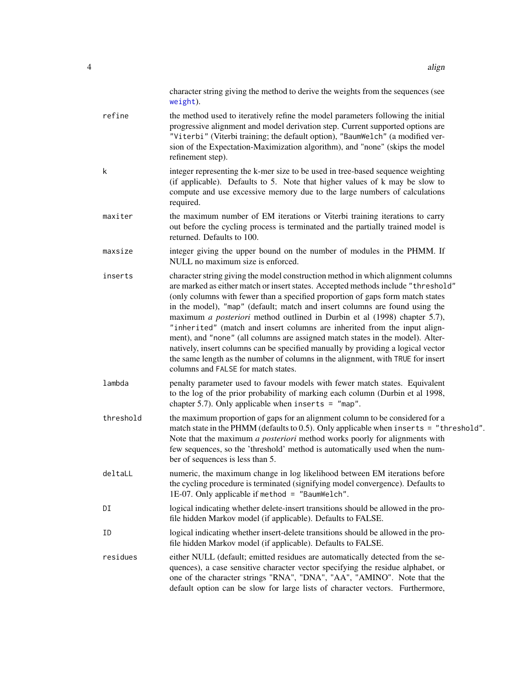<span id="page-3-0"></span>

|           | character string giving the method to derive the weights from the sequences (see<br>weight).                                                                                                                                                                                                                                                                                                                                                                                                                                                                                                                                                                                                                                                                                                     |
|-----------|--------------------------------------------------------------------------------------------------------------------------------------------------------------------------------------------------------------------------------------------------------------------------------------------------------------------------------------------------------------------------------------------------------------------------------------------------------------------------------------------------------------------------------------------------------------------------------------------------------------------------------------------------------------------------------------------------------------------------------------------------------------------------------------------------|
| refine    | the method used to iteratively refine the model parameters following the initial<br>progressive alignment and model derivation step. Current supported options are<br>"Viterbi" (Viterbi training; the default option), "BaumWelch" (a modified ver-<br>sion of the Expectation-Maximization algorithm), and "none" (skips the model<br>refinement step).                                                                                                                                                                                                                                                                                                                                                                                                                                        |
| k         | integer representing the k-mer size to be used in tree-based sequence weighting<br>(if applicable). Defaults to 5. Note that higher values of k may be slow to<br>compute and use excessive memory due to the large numbers of calculations<br>required.                                                                                                                                                                                                                                                                                                                                                                                                                                                                                                                                         |
| maxiter   | the maximum number of EM iterations or Viterbi training iterations to carry<br>out before the cycling process is terminated and the partially trained model is<br>returned. Defaults to 100.                                                                                                                                                                                                                                                                                                                                                                                                                                                                                                                                                                                                     |
| maxsize   | integer giving the upper bound on the number of modules in the PHMM. If<br>NULL no maximum size is enforced.                                                                                                                                                                                                                                                                                                                                                                                                                                                                                                                                                                                                                                                                                     |
| inserts   | character string giving the model construction method in which alignment columns<br>are marked as either match or insert states. Accepted methods include "threshold"<br>(only columns with fewer than a specified proportion of gaps form match states<br>in the model), "map" (default; match and insert columns are found using the<br>maximum a posteriori method outlined in Durbin et al (1998) chapter 5.7),<br>"inherited" (match and insert columns are inherited from the input align-<br>ment), and "none" (all columns are assigned match states in the model). Alter-<br>natively, insert columns can be specified manually by providing a logical vector<br>the same length as the number of columns in the alignment, with TRUE for insert<br>columns and FALSE for match states. |
| lambda    | penalty parameter used to favour models with fewer match states. Equivalent<br>to the log of the prior probability of marking each column (Durbin et al 1998,<br>chapter 5.7). Only applicable when inserts = $"map".$                                                                                                                                                                                                                                                                                                                                                                                                                                                                                                                                                                           |
| threshold | the maximum proportion of gaps for an alignment column to be considered for a<br>match state in the PHMM (defaults to 0.5). Only applicable when inserts = "threshold".<br>Note that the maximum a posteriori method works poorly for alignments with<br>few sequences, so the 'threshold' method is automatically used when the num-<br>ber of sequences is less than 5.                                                                                                                                                                                                                                                                                                                                                                                                                        |
| deltaLL   | numeric, the maximum change in log likelihood between EM iterations before<br>the cycling procedure is terminated (signifying model convergence). Defaults to<br>1E-07. Only applicable if method = "BaumWelch".                                                                                                                                                                                                                                                                                                                                                                                                                                                                                                                                                                                 |
| DI        | logical indicating whether delete-insert transitions should be allowed in the pro-<br>file hidden Markov model (if applicable). Defaults to FALSE.                                                                                                                                                                                                                                                                                                                                                                                                                                                                                                                                                                                                                                               |
| ID        | logical indicating whether insert-delete transitions should be allowed in the pro-<br>file hidden Markov model (if applicable). Defaults to FALSE.                                                                                                                                                                                                                                                                                                                                                                                                                                                                                                                                                                                                                                               |
| residues  | either NULL (default; emitted residues are automatically detected from the se-<br>quences), a case sensitive character vector specifying the residue alphabet, or<br>one of the character strings "RNA", "DNA", "AA", "AMINO". Note that the<br>default option can be slow for large lists of character vectors. Furthermore,                                                                                                                                                                                                                                                                                                                                                                                                                                                                    |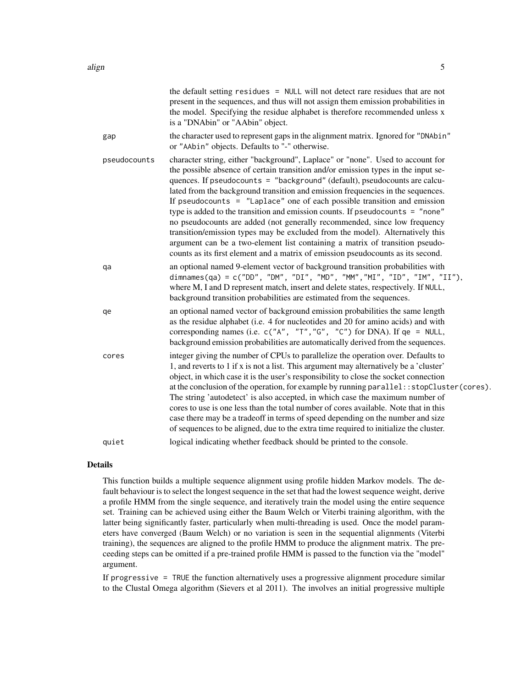|              | the default setting residues = NULL will not detect rare residues that are not<br>present in the sequences, and thus will not assign them emission probabilities in<br>the model. Specifying the residue alphabet is therefore recommended unless x<br>is a "DNAbin" or "AAbin" object.                                                                                                                                                                                                                                                                                                                                                                                                                                                                                                                                               |
|--------------|---------------------------------------------------------------------------------------------------------------------------------------------------------------------------------------------------------------------------------------------------------------------------------------------------------------------------------------------------------------------------------------------------------------------------------------------------------------------------------------------------------------------------------------------------------------------------------------------------------------------------------------------------------------------------------------------------------------------------------------------------------------------------------------------------------------------------------------|
| gap          | the character used to represent gaps in the alignment matrix. Ignored for "DNAbin"<br>or "AAbin" objects. Defaults to "-" otherwise.                                                                                                                                                                                                                                                                                                                                                                                                                                                                                                                                                                                                                                                                                                  |
| pseudocounts | character string, either "background", Laplace" or "none". Used to account for<br>the possible absence of certain transition and/or emission types in the input se-<br>quences. If pseudocounts = "background" (default), pseudocounts are calcu-<br>lated from the background transition and emission frequencies in the sequences.<br>If pseudocounts $=$ "Laplace" one of each possible transition and emission<br>type is added to the transition and emission counts. If pseudocounts = "none"<br>no pseudocounts are added (not generally recommended, since low frequency<br>transition/emission types may be excluded from the model). Alternatively this<br>argument can be a two-element list containing a matrix of transition pseudo-<br>counts as its first element and a matrix of emission pseudocounts as its second. |
| qa           | an optional named 9-element vector of background transition probabilities with<br>dimnames(qa) = c("DD", "DM", "DI", "MD", "MM","MI", "ID", "IM", "II"),<br>where M, I and D represent match, insert and delete states, respectively. If NULL,<br>background transition probabilities are estimated from the sequences.                                                                                                                                                                                                                                                                                                                                                                                                                                                                                                               |
| qe           | an optional named vector of background emission probabilities the same length<br>as the residue alphabet (i.e. 4 for nucleotides and 20 for amino acids) and with<br>corresponding names (i.e. $c("A", "T", "G", "C")$ for DNA). If $qe = NULL$ ,<br>background emission probabilities are automatically derived from the sequences.                                                                                                                                                                                                                                                                                                                                                                                                                                                                                                  |
| cores        | integer giving the number of CPUs to parallelize the operation over. Defaults to<br>1, and reverts to 1 if x is not a list. This argument may alternatively be a 'cluster'<br>object, in which case it is the user's responsibility to close the socket connection<br>at the conclusion of the operation, for example by running parallel:: stopCluster(cores).<br>The string 'autodetect' is also accepted, in which case the maximum number of<br>cores to use is one less than the total number of cores available. Note that in this<br>case there may be a tradeoff in terms of speed depending on the number and size<br>of sequences to be aligned, due to the extra time required to initialize the cluster.                                                                                                                  |
| quiet        | logical indicating whether feedback should be printed to the console.                                                                                                                                                                                                                                                                                                                                                                                                                                                                                                                                                                                                                                                                                                                                                                 |

#### Details

This function builds a multiple sequence alignment using profile hidden Markov models. The default behaviour is to select the longest sequence in the set that had the lowest sequence weight, derive a profile HMM from the single sequence, and iteratively train the model using the entire sequence set. Training can be achieved using either the Baum Welch or Viterbi training algorithm, with the latter being significantly faster, particularly when multi-threading is used. Once the model parameters have converged (Baum Welch) or no variation is seen in the sequential alignments (Viterbi training), the sequences are aligned to the profile HMM to produce the alignment matrix. The preceeding steps can be omitted if a pre-trained profile HMM is passed to the function via the "model" argument.

If progressive = TRUE the function alternatively uses a progressive alignment procedure similar to the Clustal Omega algorithm (Sievers et al 2011). The involves an initial progressive multiple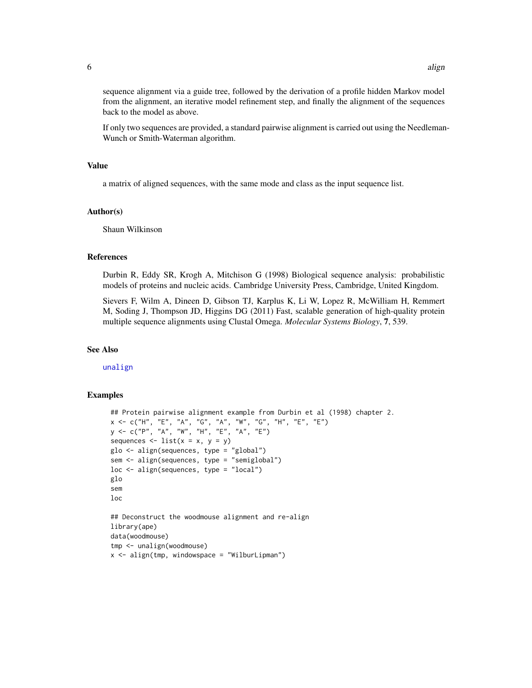<span id="page-5-0"></span>sequence alignment via a guide tree, followed by the derivation of a profile hidden Markov model from the alignment, an iterative model refinement step, and finally the alignment of the sequences back to the model as above.

If only two sequences are provided, a standard pairwise alignment is carried out using the Needleman-Wunch or Smith-Waterman algorithm.

#### Value

a matrix of aligned sequences, with the same mode and class as the input sequence list.

#### Author(s)

Shaun Wilkinson

# References

Durbin R, Eddy SR, Krogh A, Mitchison G (1998) Biological sequence analysis: probabilistic models of proteins and nucleic acids. Cambridge University Press, Cambridge, United Kingdom.

Sievers F, Wilm A, Dineen D, Gibson TJ, Karplus K, Li W, Lopez R, McWilliam H, Remmert M, Soding J, Thompson JD, Higgins DG (2011) Fast, scalable generation of high-quality protein multiple sequence alignments using Clustal Omega. *Molecular Systems Biology*, 7, 539.

#### See Also

[unalign](#page-36-1)

```
## Protein pairwise alignment example from Durbin et al (1998) chapter 2.
x <- c("H", "E", "A", "G", "A", "W", "G", "H", "E", "E")
y \leq C("P", "A", "W", "H", "E", "A", "E")sequences \le list(x = x, y = y)
glo <- align(sequences, type = "global")
sem <- align(sequences, type = "semiglobal")
loc <- align(sequences, type = "local")
glo
sem
loc
## Deconstruct the woodmouse alignment and re-align
library(ape)
data(woodmouse)
tmp <- unalign(woodmouse)
x \le - align(tmp, windowspace = "WilburLipman")
```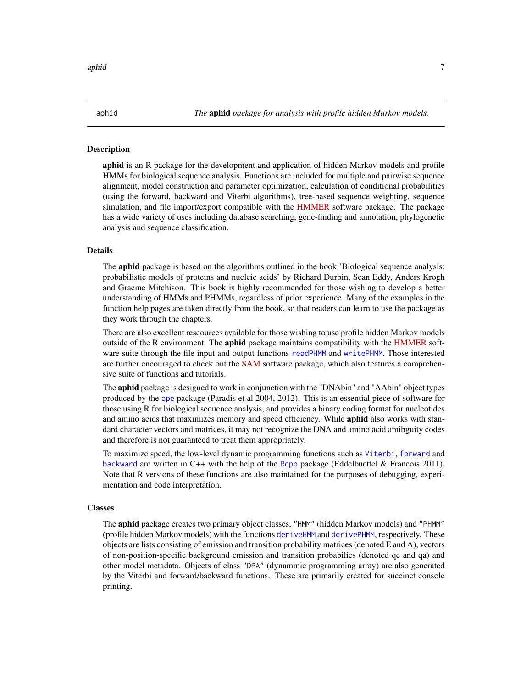# <span id="page-6-0"></span>Description

**aphid** is an R package for the development and application of hidden Markov models and profile HMMs for biological sequence analysis. Functions are included for multiple and pairwise sequence alignment, model construction and parameter optimization, calculation of conditional probabilities (using the forward, backward and Viterbi algorithms), tree-based sequence weighting, sequence simulation, and file import/export compatible with the [HMMER](http://www.hmmer.org) software package. The package has a wide variety of uses including database searching, gene-finding and annotation, phylogenetic analysis and sequence classification.

#### Details

The aphid package is based on the algorithms outlined in the book 'Biological sequence analysis: probabilistic models of proteins and nucleic acids' by Richard Durbin, Sean Eddy, Anders Krogh and Graeme Mitchison. This book is highly recommended for those wishing to develop a better understanding of HMMs and PHMMs, regardless of prior experience. Many of the examples in the function help pages are taken directly from the book, so that readers can learn to use the package as they work through the chapters.

There are also excellent rescources available for those wishing to use profile hidden Markov models outside of the R environment. The aphid package maintains compatibility with the [HMMER](http://www.hmmer.org) software suite through the file input and output functions [readPHMM](#page-30-1) and [writePHMM](#page-42-1). Those interested are further encouraged to check out the [SAM](https://compbio.soe.ucsc.edu/sam.html) software package, which also features a comprehensive suite of functions and tutorials.

The **aphid** package is designed to work in conjunction with the "DNAbin" and "AAbin" object types produced by the [ape](#page-0-0) package (Paradis et al 2004, 2012). This is an essential piece of software for those using R for biological sequence analysis, and provides a binary coding format for nucleotides and amino acids that maximizes memory and speed efficiency. While **aphid** also works with standard character vectors and matrices, it may not recognize the DNA and amino acid amibguity codes and therefore is not guaranteed to treat them appropriately.

To maximize speed, the low-level dynamic programming functions such as [Viterbi](#page-37-1), [forward](#page-18-1) and [backward](#page-8-1) are written in C++ with the help of the [Rcpp](#page-0-0) package (Eddelbuettel & Francois 2011). Note that R versions of these functions are also maintained for the purposes of debugging, experimentation and code interpretation.

#### Classes

The aphid package creates two primary object classes, "HMM" (hidden Markov models) and "PHMM" (profile hidden Markov models) with the functions [deriveHMM](#page-11-1) and [derivePHMM](#page-13-1), respectively. These objects are lists consisting of emission and transition probability matrices (denoted E and A), vectors of non-position-specific background emission and transition probabilies (denoted qe and qa) and other model metadata. Objects of class "DPA" (dynammic programming array) are also generated by the Viterbi and forward/backward functions. These are primarily created for succinct console printing.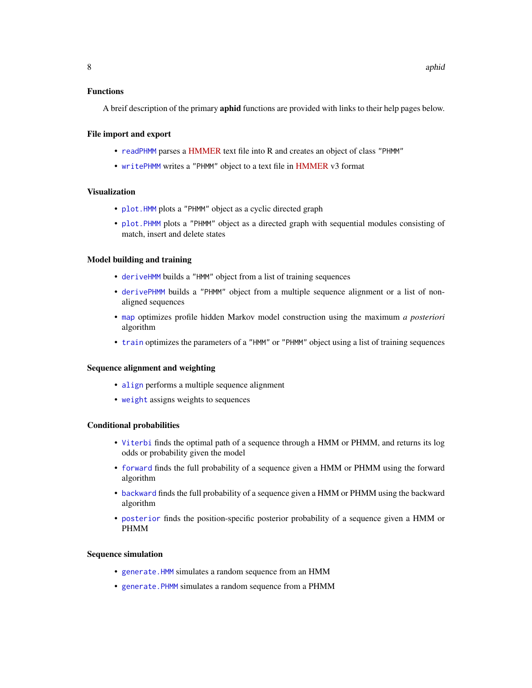# <span id="page-7-0"></span>Functions

A breif description of the primary **aphid** functions are provided with links to their help pages below.

# File import and export

- [readPHMM](#page-30-1) parses a [HMMER](http://www.hmmer.org) text file into R and creates an object of class "PHMM"
- [writePHMM](#page-42-1) writes a "PHMM" object to a text file in [HMMER](http://www.hmmer.org) v3 format

# Visualization

- [plot.HMM](#page-25-1) plots a "PHMM" object as a cyclic directed graph
- [plot.PHMM](#page-26-1) plots a "PHMM" object as a directed graph with sequential modules consisting of match, insert and delete states

#### Model building and training

- [deriveHMM](#page-11-1) builds a "HMM" object from a list of training sequences
- [derivePHMM](#page-13-1) builds a "PHMM" object from a multiple sequence alignment or a list of nonaligned sequences
- [map](#page-23-1) optimizes profile hidden Markov model construction using the maximum *a posteriori* algorithm
- [train](#page-32-1) optimizes the parameters of a "HMM" or "PHMM" object using a list of training sequences

#### Sequence alignment and weighting

- [align](#page-1-1) performs a multiple sequence alignment
- [weight](#page-40-1) assigns weights to sequences

# Conditional probabilities

- [Viterbi](#page-37-1) finds the optimal path of a sequence through a HMM or PHMM, and returns its log odds or probability given the model
- [forward](#page-18-1) finds the full probability of a sequence given a HMM or PHMM using the forward algorithm
- [backward](#page-8-1) finds the full probability of a sequence given a HMM or PHMM using the backward algorithm
- [posterior](#page-28-1) finds the position-specific posterior probability of a sequence given a HMM or PHMM

#### Sequence simulation

- [generate.HMM](#page-20-1) simulates a random sequence from an HMM
- [generate.PHMM](#page-20-1) simulates a random sequence from a PHMM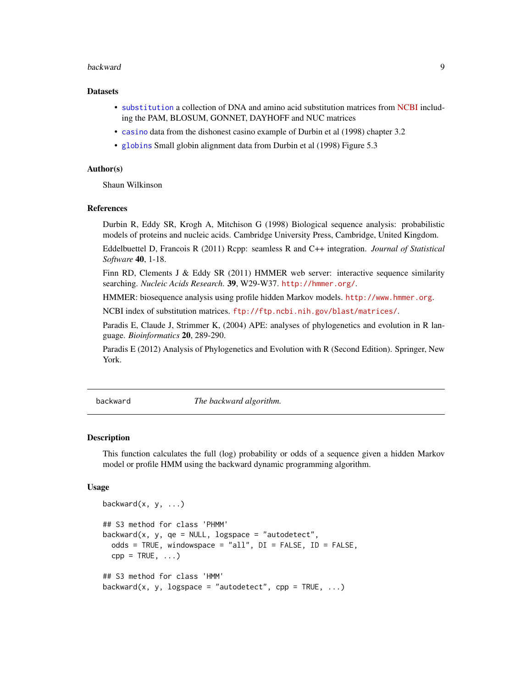#### <span id="page-8-0"></span>backward 90 and 200 and 200 and 200 and 200 and 200 and 200 and 200 and 200 and 200 and 200 and 200 and 200 and 200 and 200 and 200 and 200 and 200 and 200 and 200 and 200 and 200 and 200 and 200 and 200 and 200 and 200 an

#### **Datasets**

- [substitution](#page-32-2) a collection of DNA and amino acid substitution matrices from [NCBI](ftp://ftp.ncbi.nih.gov/blast/matrices/) including the PAM, BLOSUM, GONNET, DAYHOFF and NUC matrices
- [casino](#page-10-1) data from the dishonest casino example of Durbin et al (1998) chapter 3.2
- [globins](#page-22-1) Small globin alignment data from Durbin et al (1998) Figure 5.3

#### Author(s)

Shaun Wilkinson

#### References

Durbin R, Eddy SR, Krogh A, Mitchison G (1998) Biological sequence analysis: probabilistic models of proteins and nucleic acids. Cambridge University Press, Cambridge, United Kingdom.

Eddelbuettel D, Francois R (2011) Rcpp: seamless R and C++ integration. *Journal of Statistical Software* 40, 1-18.

Finn RD, Clements J & Eddy SR (2011) HMMER web server: interactive sequence similarity searching. *Nucleic Acids Research*. 39, W29-W37. <http://hmmer.org/>.

HMMER: biosequence analysis using profile hidden Markov models. <http://www.hmmer.org>.

NCBI index of substitution matrices. <ftp://ftp.ncbi.nih.gov/blast/matrices/>.

Paradis E, Claude J, Strimmer K, (2004) APE: analyses of phylogenetics and evolution in R language. *Bioinformatics* 20, 289-290.

Paradis E (2012) Analysis of Phylogenetics and Evolution with R (Second Edition). Springer, New York.

<span id="page-8-1"></span>backward *The backward algorithm.*

#### **Description**

This function calculates the full (log) probability or odds of a sequence given a hidden Markov model or profile HMM using the backward dynamic programming algorithm.

# Usage

```
backward(x, y, ...)
## S3 method for class 'PHMM'
backward(x, y, qe = NULL, logspace = "autodetect",
  odds = TRUE, windowspace = "all", DI = FALSE, ID = FALSE,
  cpp = TRUE, \ldots## S3 method for class 'HMM'
backward(x, y, logspace = "autodetect", cpp = TRUE, \ldots)
```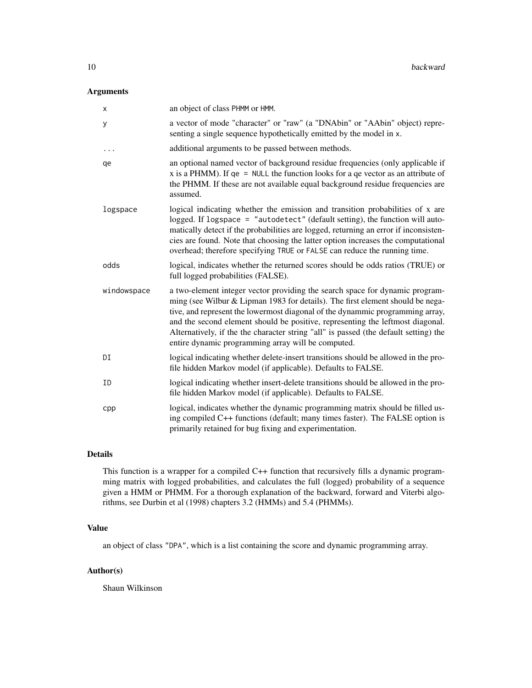# Arguments

| X           | an object of class PHMM or HMM.                                                                                                                                                                                                                                                                                                                                                                                                                                                 |
|-------------|---------------------------------------------------------------------------------------------------------------------------------------------------------------------------------------------------------------------------------------------------------------------------------------------------------------------------------------------------------------------------------------------------------------------------------------------------------------------------------|
| У           | a vector of mode "character" or "raw" (a "DNAbin" or "AAbin" object) repre-<br>senting a single sequence hypothetically emitted by the model in x.                                                                                                                                                                                                                                                                                                                              |
| $\cdots$    | additional arguments to be passed between methods.                                                                                                                                                                                                                                                                                                                                                                                                                              |
| qe          | an optional named vector of background residue frequencies (only applicable if<br>x is a PHMM). If $qe = NULL$ the function looks for a qe vector as an attribute of<br>the PHMM. If these are not available equal background residue frequencies are<br>assumed.                                                                                                                                                                                                               |
| logspace    | logical indicating whether the emission and transition probabilities of x are<br>logged. If logspace = "autodetect" (default setting), the function will auto-<br>matically detect if the probabilities are logged, returning an error if inconsisten-<br>cies are found. Note that choosing the latter option increases the computational<br>overhead; therefore specifying TRUE or FALSE can reduce the running time.                                                         |
| odds        | logical, indicates whether the returned scores should be odds ratios (TRUE) or<br>full logged probabilities (FALSE).                                                                                                                                                                                                                                                                                                                                                            |
| windowspace | a two-element integer vector providing the search space for dynamic program-<br>ming (see Wilbur & Lipman 1983 for details). The first element should be nega-<br>tive, and represent the lowermost diagonal of the dynammic programming array,<br>and the second element should be positive, representing the leftmost diagonal.<br>Alternatively, if the the character string "all" is passed (the default setting) the<br>entire dynamic programming array will be computed. |
| DI          | logical indicating whether delete-insert transitions should be allowed in the pro-<br>file hidden Markov model (if applicable). Defaults to FALSE.                                                                                                                                                                                                                                                                                                                              |
| ID          | logical indicating whether insert-delete transitions should be allowed in the pro-<br>file hidden Markov model (if applicable). Defaults to FALSE.                                                                                                                                                                                                                                                                                                                              |
| cpp         | logical, indicates whether the dynamic programming matrix should be filled us-<br>ing compiled C++ functions (default; many times faster). The FALSE option is<br>primarily retained for bug fixing and experimentation.                                                                                                                                                                                                                                                        |

#### Details

This function is a wrapper for a compiled C++ function that recursively fills a dynamic programming matrix with logged probabilities, and calculates the full (logged) probability of a sequence given a HMM or PHMM. For a thorough explanation of the backward, forward and Viterbi algorithms, see Durbin et al (1998) chapters 3.2 (HMMs) and 5.4 (PHMMs).

# Value

an object of class "DPA", which is a list containing the score and dynamic programming array.

# Author(s)

Shaun Wilkinson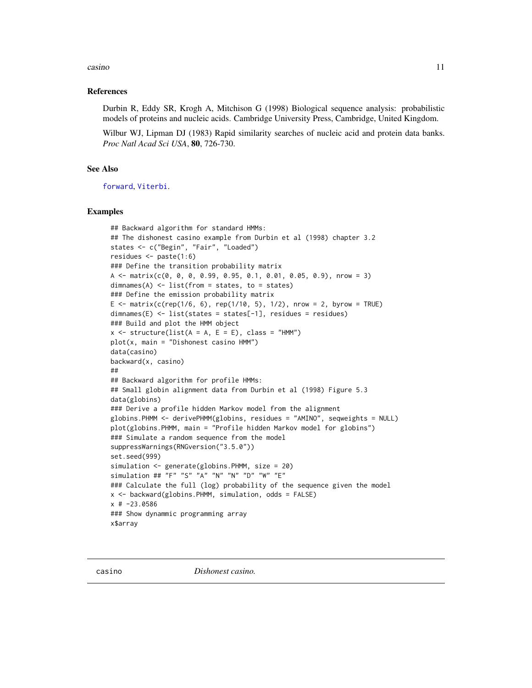#### <span id="page-10-0"></span>casino della casino della contra della contra della contra della contra della contra della contra della contra della contra della contra della contra della contra della contra della contra della contra della contra della c

### References

Durbin R, Eddy SR, Krogh A, Mitchison G (1998) Biological sequence analysis: probabilistic models of proteins and nucleic acids. Cambridge University Press, Cambridge, United Kingdom.

Wilbur WJ, Lipman DJ (1983) Rapid similarity searches of nucleic acid and protein data banks. *Proc Natl Acad Sci USA*, 80, 726-730.

# See Also

[forward](#page-18-1), [Viterbi](#page-37-1).

```
## Backward algorithm for standard HMMs:
## The dishonest casino example from Durbin et al (1998) chapter 3.2
states <- c("Begin", "Fair", "Loaded")
residues <- paste(1:6)
### Define the transition probability matrix
A \leq matrix(c(0, 0, 0, 0.99, 0.95, 0.1, 0.01, 0.05, 0.9), nrow = 3)
dimnames(A) <- list(from = states, to = states)
### Define the emission probability matrix
E <- matrix(c(rep(1/6, 6), rep(1/10, 5), 1/2), nrow = 2, byrow = TRUE)
dimnames(E) <- list(states = states[-1], residues = residues)
### Build and plot the HMM object
x \le - structure(list(A = A, E = E), class = "HMM")
plot(x, main = "Dishonest casino HMM")
data(casino)
backward(x, casino)
##
## Backward algorithm for profile HMMs:
## Small globin alignment data from Durbin et al (1998) Figure 5.3
data(globins)
### Derive a profile hidden Markov model from the alignment
globins.PHMM <- derivePHMM(globins, residues = "AMINO", seqweights = NULL)
plot(globins.PHMM, main = "Profile hidden Markov model for globins")
### Simulate a random sequence from the model
suppressWarnings(RNGversion("3.5.0"))
set.seed(999)
simulation <- generate(globins.PHMM, size = 20)
simulation ## "F" "S" "A" "N" "N" "D" "W" "E"
### Calculate the full (log) probability of the sequence given the model
x <- backward(globins. PHMM, simulation, odds = FALSE)
x # -23.0586### Show dynammic programming array
x$array
```
<span id="page-10-1"></span>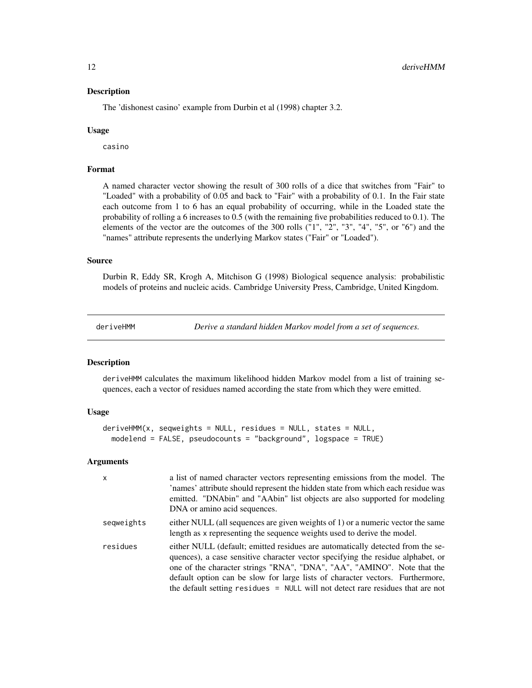#### <span id="page-11-0"></span>Description

The 'dishonest casino' example from Durbin et al (1998) chapter 3.2.

#### Usage

casino

# Format

A named character vector showing the result of 300 rolls of a dice that switches from "Fair" to "Loaded" with a probability of 0.05 and back to "Fair" with a probability of 0.1. In the Fair state each outcome from 1 to 6 has an equal probability of occurring, while in the Loaded state the probability of rolling a 6 increases to 0.5 (with the remaining five probabilities reduced to 0.1). The elements of the vector are the outcomes of the 300 rolls ("1", "2", "3", "4", "5", or "6") and the "names" attribute represents the underlying Markov states ("Fair" or "Loaded").

#### Source

Durbin R, Eddy SR, Krogh A, Mitchison G (1998) Biological sequence analysis: probabilistic models of proteins and nucleic acids. Cambridge University Press, Cambridge, United Kingdom.

<span id="page-11-1"></span>deriveHMM *Derive a standard hidden Markov model from a set of sequences.*

# Description

deriveHMM calculates the maximum likelihood hidden Markov model from a list of training sequences, each a vector of residues named according the state from which they were emitted.

#### Usage

```
deriveHMM(x, seqweights = NULL, residues = NULL, states = NULL,
 modelend = FALSE, pseudocounts = "background", logspace = TRUE)
```
#### Arguments

| $\mathsf{x}$ | a list of named character vectors representing emissions from the model. The<br>names' attribute should represent the hidden state from which each residue was<br>emitted. "DNAbin" and "AAbin" list objects are also supported for modeling<br>DNA or amino acid sequences.                                                                                                                                    |
|--------------|-----------------------------------------------------------------------------------------------------------------------------------------------------------------------------------------------------------------------------------------------------------------------------------------------------------------------------------------------------------------------------------------------------------------|
| seqweights   | either NULL (all sequences are given weights of 1) or a numeric vector the same<br>length as x representing the sequence weights used to derive the model.                                                                                                                                                                                                                                                      |
| residues     | either NULL (default; emitted residues are automatically detected from the se-<br>quences), a case sensitive character vector specifying the residue alphabet, or<br>one of the character strings "RNA", "DNA", "AA", "AMINO". Note that the<br>default option can be slow for large lists of character vectors. Furthermore,<br>the default setting residues = NULL will not detect rare residues that are not |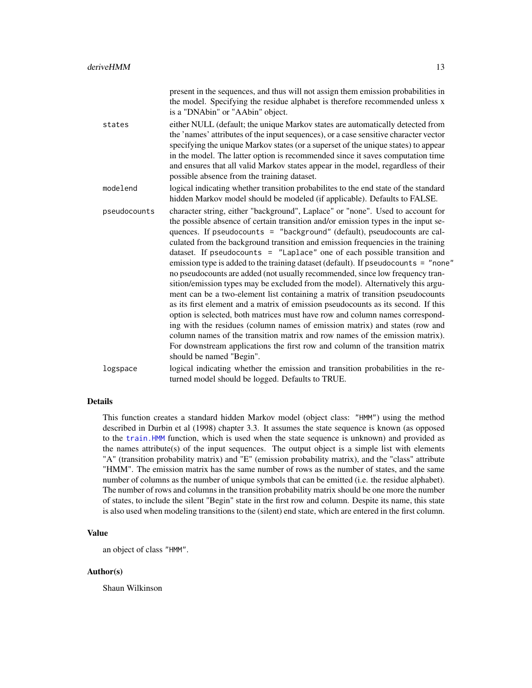<span id="page-12-0"></span>

|              | present in the sequences, and thus will not assign them emission probabilities in<br>the model. Specifying the residue alphabet is therefore recommended unless x<br>is a "DNAbin" or "AAbin" object.                                                                                                                                                                                                                                                                                                                                                                                                                                                                                                                                                                                                                                                                                                                                                                                                                                                                                                                                                                                                      |
|--------------|------------------------------------------------------------------------------------------------------------------------------------------------------------------------------------------------------------------------------------------------------------------------------------------------------------------------------------------------------------------------------------------------------------------------------------------------------------------------------------------------------------------------------------------------------------------------------------------------------------------------------------------------------------------------------------------------------------------------------------------------------------------------------------------------------------------------------------------------------------------------------------------------------------------------------------------------------------------------------------------------------------------------------------------------------------------------------------------------------------------------------------------------------------------------------------------------------------|
| states       | either NULL (default; the unique Markov states are automatically detected from<br>the 'names' attributes of the input sequences), or a case sensitive character vector<br>specifying the unique Markov states (or a superset of the unique states) to appear<br>in the model. The latter option is recommended since it saves computation time<br>and ensures that all valid Markov states appear in the model, regardless of their<br>possible absence from the training dataset.                                                                                                                                                                                                                                                                                                                                                                                                                                                                                                                                                                                                                                                                                                                         |
| modelend     | logical indicating whether transition probabilites to the end state of the standard<br>hidden Markov model should be modeled (if applicable). Defaults to FALSE.                                                                                                                                                                                                                                                                                                                                                                                                                                                                                                                                                                                                                                                                                                                                                                                                                                                                                                                                                                                                                                           |
| pseudocounts | character string, either "background", Laplace" or "none". Used to account for<br>the possible absence of certain transition and/or emission types in the input se-<br>quences. If pseudocounts = "background" (default), pseudocounts are cal-<br>culated from the background transition and emission frequencies in the training<br>dataset. If pseudocounts = "Laplace" one of each possible transition and<br>emission type is added to the training dataset (default). If pseudocounts = "none"<br>no pseudocounts are added (not usually recommended, since low frequency tran-<br>sition/emission types may be excluded from the model). Alternatively this argu-<br>ment can be a two-element list containing a matrix of transition pseudocounts<br>as its first element and a matrix of emission pseudocounts as its second. If this<br>option is selected, both matrices must have row and column names correspond-<br>ing with the residues (column names of emission matrix) and states (row and<br>column names of the transition matrix and row names of the emission matrix).<br>For downstream applications the first row and column of the transition matrix<br>should be named "Begin". |
| logspace     | logical indicating whether the emission and transition probabilities in the re-<br>turned model should be logged. Defaults to TRUE.                                                                                                                                                                                                                                                                                                                                                                                                                                                                                                                                                                                                                                                                                                                                                                                                                                                                                                                                                                                                                                                                        |

# Details

This function creates a standard hidden Markov model (object class: "HMM") using the method described in Durbin et al (1998) chapter 3.3. It assumes the state sequence is known (as opposed to the [train.HMM](#page-32-3) function, which is used when the state sequence is unknown) and provided as the names attribute(s) of the input sequences. The output object is a simple list with elements "A" (transition probability matrix) and "E" (emission probability matrix), and the "class" attribute "HMM". The emission matrix has the same number of rows as the number of states, and the same number of columns as the number of unique symbols that can be emitted (i.e. the residue alphabet). The number of rows and columns in the transition probability matrix should be one more the number of states, to include the silent "Begin" state in the first row and column. Despite its name, this state is also used when modeling transitions to the (silent) end state, which are entered in the first column.

# Value

an object of class "HMM".

#### Author(s)

Shaun Wilkinson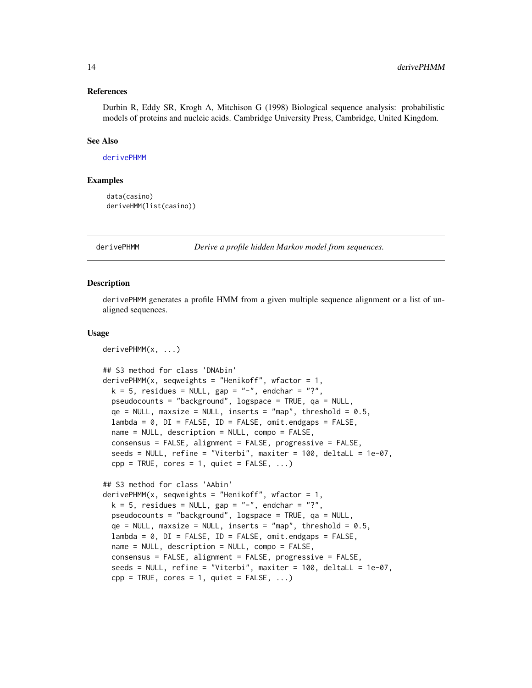#### <span id="page-13-0"></span>References

Durbin R, Eddy SR, Krogh A, Mitchison G (1998) Biological sequence analysis: probabilistic models of proteins and nucleic acids. Cambridge University Press, Cambridge, United Kingdom.

#### See Also

[derivePHMM](#page-13-1)

# Examples

```
data(casino)
deriveHMM(list(casino))
```
<span id="page-13-1"></span>derivePHMM *Derive a profile hidden Markov model from sequences.*

#### **Description**

derivePHMM generates a profile HMM from a given multiple sequence alignment or a list of unaligned sequences.

#### Usage

```
derivePHMM(x, ...)
## S3 method for class 'DNAbin'
derivePHMM(x, seqweights = "Henikoff", wfactor = 1,
 k = 5, residues = NULL, gap = "-", endchar = "?",
 pseudocounts = "background", logspace = TRUE, qa = NULL,
 qe = NULL, maxsize = NULL, inserts = "map", threshold = 0.5,
  lambda = 0, DI = FALSE, ID = FALSE, omit.endgaps = FALSE,
 name = NULL, description = NULL, compo = FALSE,
  consensus = FALSE, alignment = FALSE, progressive = FALSE,
  seeds = NULL, refine = "Viterbi", maxiter = 100, deltaLL = 1e-07,
  cpp = TRUE, cores = 1, quiet = FALSE, ...)
## S3 method for class 'AAbin'
derivePHMM(x, seqweights = "Henikoff", wfactor = 1,
 k = 5, residues = NULL, gap = "-", endchar = "?",
 pseudocounts = "background", logspace = TRUE, qa = NULL,
  qe = NULL, maxsize = NULL, inserts = "map", threshold = 0.5,
 lambda = 0, DI = FALSE, ID = FALSE, omit.endgaps = FALSE,
 name = NULL, description = NULL, compo = FALSE,
  consensus = FALSE, alignment = FALSE, progressive = FALSE,
  seeds = NULL, refine = "Viterbi", maxiter = 100, deltaLL = 1e-07,
  cpp = TRUE, cores = 1, quiet = FALSE, ...)
```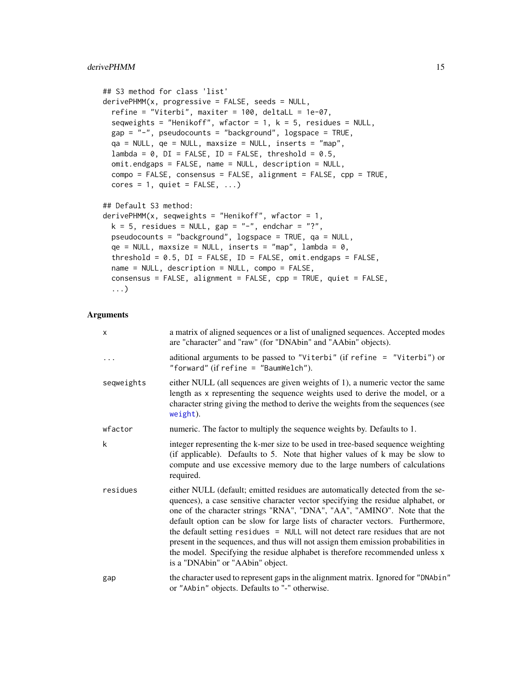# <span id="page-14-0"></span>derivePHMM 15

```
## S3 method for class 'list'
derivePHMM(x, progressive = FALSE, seeds = NULL,refine = "Viterbi", maxiter = 100, deltaLL = 1e-07,
 seqweights = "Henikoff", wfactor = 1, k = 5, residues = NULL,
 gap = "-", pseudocounts = "background", logspace = TRUE,
 qa = NULL, qe = NULL, maxsize = NULL, inserts = "map",
 lambda = 0, DI = FALSE, ID = FALSE, threshold = 0.5,
 omit.endgaps = FALSE, name = NULL, description = NULL,
 compo = FALSE, consensus = FALSE, alignment = FALSE, cpp = TRUE,
 cores = 1, quite = FALSE, ...)## Default S3 method:
derivePHMM(x, sequence) seqweights = "Henikoff", wfactor = 1,
 k = 5, residues = NULL, gap = "-", endchar = "?",
 pseudocounts = "background", logspace = TRUE, qa = NULL,
 qe = NULL, maxsize = NULL, inserts = "map", lambda = 0,
  threshold = 0.5, DI = FALSE, ID = FALSE, omit.endgaps = FALSE,
 name = NULL, description = NULL, compo = FALSE,
 consensus = FALSE, alignment = FALSE, cpp = TRUE, quiet = FALSE,
  ...)
```
# Arguments

| $\mathsf{x}$ | a matrix of aligned sequences or a list of unaligned sequences. Accepted modes<br>are "character" and "raw" (for "DNAbin" and "AAbin" objects).                                                                                                                                                                                                                                                                                                                                                                                                                                                                          |
|--------------|--------------------------------------------------------------------------------------------------------------------------------------------------------------------------------------------------------------------------------------------------------------------------------------------------------------------------------------------------------------------------------------------------------------------------------------------------------------------------------------------------------------------------------------------------------------------------------------------------------------------------|
| .            | aditional arguments to be passed to "Viterbi" (if refine = "Viterbi") or<br>"forward" (if refine $=$ "BaumWelch").                                                                                                                                                                                                                                                                                                                                                                                                                                                                                                       |
| seqweights   | either NULL (all sequences are given weights of 1), a numeric vector the same<br>length as x representing the sequence weights used to derive the model, or a<br>character string giving the method to derive the weights from the sequences (see<br>weight).                                                                                                                                                                                                                                                                                                                                                            |
| wfactor      | numeric. The factor to multiply the sequence weights by. Defaults to 1.                                                                                                                                                                                                                                                                                                                                                                                                                                                                                                                                                  |
| k            | integer representing the k-mer size to be used in tree-based sequence weighting<br>(if applicable). Defaults to 5. Note that higher values of k may be slow to<br>compute and use excessive memory due to the large numbers of calculations<br>required.                                                                                                                                                                                                                                                                                                                                                                 |
| residues     | either NULL (default; emitted residues are automatically detected from the se-<br>quences), a case sensitive character vector specifying the residue alphabet, or<br>one of the character strings "RNA", "DNA", "AA", "AMINO". Note that the<br>default option can be slow for large lists of character vectors. Furthermore,<br>the default setting residues = NULL will not detect rare residues that are not<br>present in the sequences, and thus will not assign them emission probabilities in<br>the model. Specifying the residue alphabet is therefore recommended unless x<br>is a "DNAbin" or "AAbin" object. |
| gap          | the character used to represent gaps in the alignment matrix. Ignored for "DNAbin"<br>or "AAbin" objects. Defaults to "-" otherwise.                                                                                                                                                                                                                                                                                                                                                                                                                                                                                     |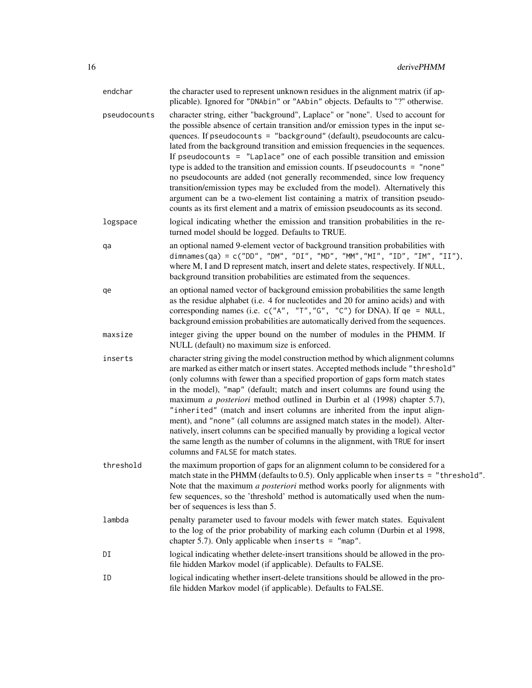| endchar      | the character used to represent unknown residues in the alignment matrix (if ap-<br>plicable). Ignored for "DNAbin" or "AAbin" objects. Defaults to "?" otherwise.                                                                                                                                                                                                                                                                                                                                                                                                                                                                                                                                                                                                                                                                    |
|--------------|---------------------------------------------------------------------------------------------------------------------------------------------------------------------------------------------------------------------------------------------------------------------------------------------------------------------------------------------------------------------------------------------------------------------------------------------------------------------------------------------------------------------------------------------------------------------------------------------------------------------------------------------------------------------------------------------------------------------------------------------------------------------------------------------------------------------------------------|
| pseudocounts | character string, either "background", Laplace" or "none". Used to account for<br>the possible absence of certain transition and/or emission types in the input se-<br>quences. If pseudocounts = "background" (default), pseudocounts are calcu-<br>lated from the background transition and emission frequencies in the sequences.<br>If pseudocounts $=$ "Laplace" one of each possible transition and emission<br>type is added to the transition and emission counts. If pseudocounts = "none"<br>no pseudocounts are added (not generally recommended, since low frequency<br>transition/emission types may be excluded from the model). Alternatively this<br>argument can be a two-element list containing a matrix of transition pseudo-<br>counts as its first element and a matrix of emission pseudocounts as its second. |
| logspace     | logical indicating whether the emission and transition probabilities in the re-<br>turned model should be logged. Defaults to TRUE.                                                                                                                                                                                                                                                                                                                                                                                                                                                                                                                                                                                                                                                                                                   |
| qa           | an optional named 9-element vector of background transition probabilities with<br>dimnames(qa) = c("DD", "DM", "DI", "MD", "MM","MI", "ID", "IM", "II"),<br>where M, I and D represent match, insert and delete states, respectively. If NULL,<br>background transition probabilities are estimated from the sequences.                                                                                                                                                                                                                                                                                                                                                                                                                                                                                                               |
| qe           | an optional named vector of background emission probabilities the same length<br>as the residue alphabet (i.e. 4 for nucleotides and 20 for amino acids) and with<br>corresponding names (i.e. $c("A", "T", "G", "C")$ for DNA). If $qe = NULL$ ,<br>background emission probabilities are automatically derived from the sequences.                                                                                                                                                                                                                                                                                                                                                                                                                                                                                                  |
| maxsize      | integer giving the upper bound on the number of modules in the PHMM. If<br>NULL (default) no maximum size is enforced.                                                                                                                                                                                                                                                                                                                                                                                                                                                                                                                                                                                                                                                                                                                |
| inserts      | character string giving the model construction method by which alignment columns<br>are marked as either match or insert states. Accepted methods include "threshold"<br>(only columns with fewer than a specified proportion of gaps form match states<br>in the model), "map" (default; match and insert columns are found using the<br>maximum a posteriori method outlined in Durbin et al (1998) chapter 5.7),<br>"inherited" (match and insert columns are inherited from the input align-<br>ment), and "none" (all columns are assigned match states in the model). Alter-<br>natively, insert columns can be specified manually by providing a logical vector<br>the same length as the number of columns in the alignment, with TRUE for insert<br>columns and FALSE for match states.                                      |
| threshold    | the maximum proportion of gaps for an alignment column to be considered for a<br>match state in the PHMM (defaults to 0.5). Only applicable when inserts = "threshold".<br>Note that the maximum a posteriori method works poorly for alignments with<br>few sequences, so the 'threshold' method is automatically used when the num-<br>ber of sequences is less than 5.                                                                                                                                                                                                                                                                                                                                                                                                                                                             |
| lambda       | penalty parameter used to favour models with fewer match states. Equivalent<br>to the log of the prior probability of marking each column (Durbin et al 1998,<br>chapter 5.7). Only applicable when inserts = $"map".$                                                                                                                                                                                                                                                                                                                                                                                                                                                                                                                                                                                                                |
| DI           | logical indicating whether delete-insert transitions should be allowed in the pro-<br>file hidden Markov model (if applicable). Defaults to FALSE.                                                                                                                                                                                                                                                                                                                                                                                                                                                                                                                                                                                                                                                                                    |
| ID           | logical indicating whether insert-delete transitions should be allowed in the pro-<br>file hidden Markov model (if applicable). Defaults to FALSE.                                                                                                                                                                                                                                                                                                                                                                                                                                                                                                                                                                                                                                                                                    |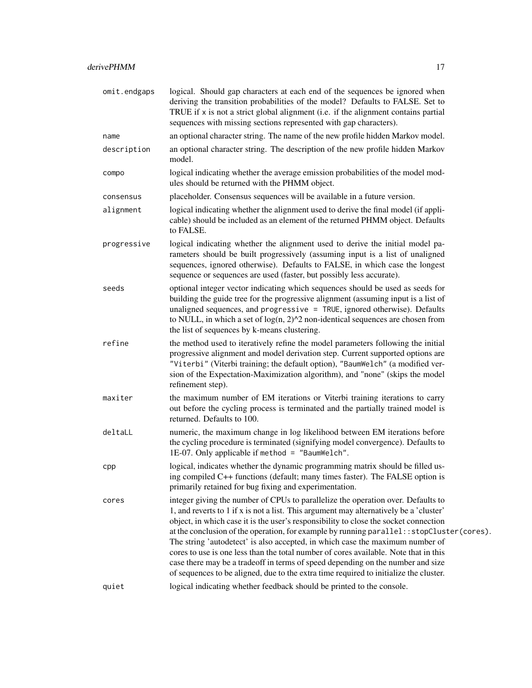omit.endgaps logical. Should gap characters at each end of the sequences be ignored when deriving the transition probabilities of the model? Defaults to FALSE. Set to TRUE if x is not a strict global alignment (i.e. if the alignment contains partial sequences with missing sections represented with gap characters). name an optional character string. The name of the new profile hidden Markov model. description an optional character string. The description of the new profile hidden Markov model. compo logical indicating whether the average emission probabilities of the model modules should be returned with the PHMM object. consensus placeholder. Consensus sequences will be available in a future version. alignment logical indicating whether the alignment used to derive the final model (if applicable) should be included as an element of the returned PHMM object. Defaults to FALSE. progressive logical indicating whether the alignment used to derive the initial model parameters should be built progressively (assuming input is a list of unaligned sequences, ignored otherwise). Defaults to FALSE, in which case the longest sequence or sequences are used (faster, but possibly less accurate). seeds optional integer vector indicating which sequences should be used as seeds for building the guide tree for the progressive alignment (assuming input is a list of unaligned sequences, and progressive = TRUE, ignored otherwise). Defaults to NULL, in which a set of  $log(n, 2)$ <sup> $\land$ 2</sup> non-identical sequences are chosen from the list of sequences by k-means clustering. refine the method used to iteratively refine the model parameters following the initial progressive alignment and model derivation step. Current supported options are "Viterbi" (Viterbi training; the default option), "BaumWelch" (a modified version of the Expectation-Maximization algorithm), and "none" (skips the model refinement step). maxiter the maximum number of EM iterations or Viterbi training iterations to carry out before the cycling process is terminated and the partially trained model is returned. Defaults to 100. deltaLL numeric, the maximum change in log likelihood between EM iterations before the cycling procedure is terminated (signifying model convergence). Defaults to 1E-07. Only applicable if method = "BaumWelch". cpp logical, indicates whether the dynamic programming matrix should be filled using compiled C++ functions (default; many times faster). The FALSE option is primarily retained for bug fixing and experimentation. cores integer giving the number of CPUs to parallelize the operation over. Defaults to 1, and reverts to 1 if x is not a list. This argument may alternatively be a 'cluster' object, in which case it is the user's responsibility to close the socket connection at the conclusion of the operation, for example by running parallel::stopCluster(cores). The string 'autodetect' is also accepted, in which case the maximum number of cores to use is one less than the total number of cores available. Note that in this case there may be a tradeoff in terms of speed depending on the number and size of sequences to be aligned, due to the extra time required to initialize the cluster. quiet logical indicating whether feedback should be printed to the console.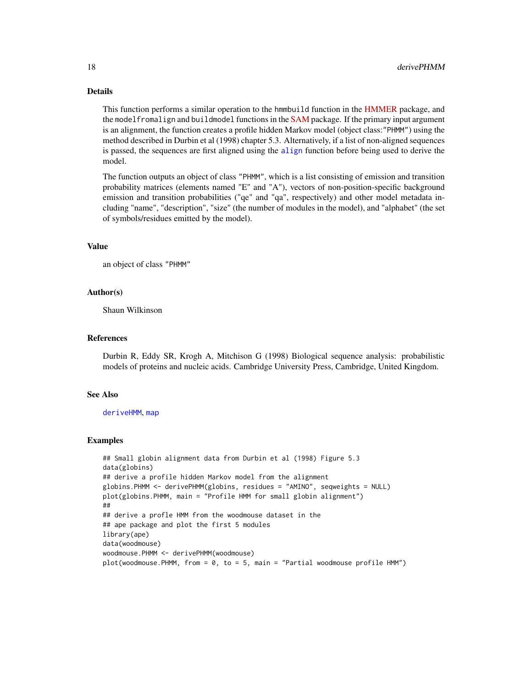# Details

This function performs a similar operation to the hmmbuild function in the [HMMER](http://www.hmmer.org) package, and the modelfromalign and buildmodel functions in the [SAM](https://compbio.soe.ucsc.edu/sam.html) package. If the primary input argument is an alignment, the function creates a profile hidden Markov model (object class:"PHMM") using the method described in Durbin et al (1998) chapter 5.3. Alternatively, if a list of non-aligned sequences is passed, the sequences are first aligned using the [align](#page-1-1) function before being used to derive the model.

The function outputs an object of class "PHMM", which is a list consisting of emission and transition probability matrices (elements named "E" and "A"), vectors of non-position-specific background emission and transition probabilities ("qe" and "qa", respectively) and other model metadata including "name", "description", "size" (the number of modules in the model), and "alphabet" (the set of symbols/residues emitted by the model).

#### Value

an object of class "PHMM"

#### Author(s)

Shaun Wilkinson

#### References

Durbin R, Eddy SR, Krogh A, Mitchison G (1998) Biological sequence analysis: probabilistic models of proteins and nucleic acids. Cambridge University Press, Cambridge, United Kingdom.

#### See Also

#### [deriveHMM](#page-11-1), [map](#page-23-1)

```
## Small globin alignment data from Durbin et al (1998) Figure 5.3
data(globins)
## derive a profile hidden Markov model from the alignment
globins.PHMM <- derivePHMM(globins, residues = "AMINO", seqweights = NULL)
plot(globins.PHMM, main = "Profile HMM for small globin alignment")
##
## derive a profle HMM from the woodmouse dataset in the
## ape package and plot the first 5 modules
library(ape)
data(woodmouse)
woodmouse.PHMM <- derivePHMM(woodmouse)
plot(woodmouse.PHMM, from = 0, to = 5, main = "Partial woodmouse profile HMM")
```
<span id="page-17-0"></span>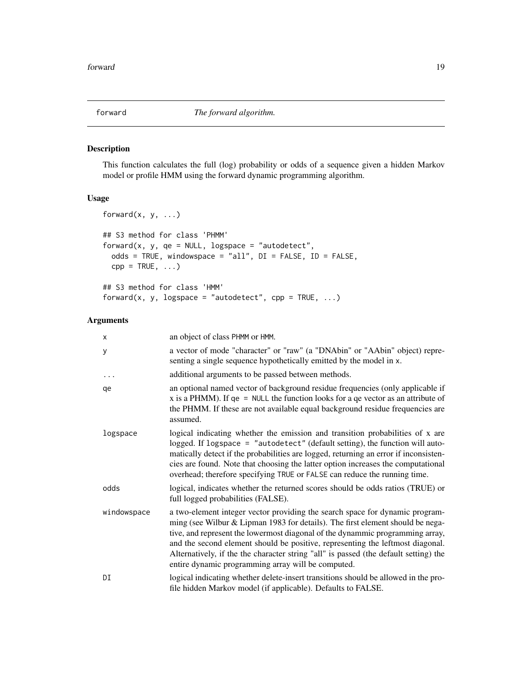<span id="page-18-1"></span><span id="page-18-0"></span>

# Description

This function calculates the full (log) probability or odds of a sequence given a hidden Markov model or profile HMM using the forward dynamic programming algorithm.

# Usage

```
forward(x, y, \ldots)## S3 method for class 'PHMM'
forward(x, y, qe = NULL, logspace = "autodetect",
  odds = TRUE, windowspace = "all", DI = FALSE, ID = FALSE,
  cpp = TRUE, \ldots)## S3 method for class 'HMM'
forward(x, y, logspace = "autodetect", cpp = TRUE, \ldots)
```
#### Arguments

| x           | an object of class PHMM or HMM.                                                                                                                                                                                                                                                                                                                                                                                                                                                 |
|-------------|---------------------------------------------------------------------------------------------------------------------------------------------------------------------------------------------------------------------------------------------------------------------------------------------------------------------------------------------------------------------------------------------------------------------------------------------------------------------------------|
| У           | a vector of mode "character" or "raw" (a "DNAbin" or "AAbin" object) repre-<br>senting a single sequence hypothetically emitted by the model in x.                                                                                                                                                                                                                                                                                                                              |
| $\cdots$    | additional arguments to be passed between methods.                                                                                                                                                                                                                                                                                                                                                                                                                              |
| qe          | an optional named vector of background residue frequencies (only applicable if<br>x is a PHMM). If $qe = NULL$ the function looks for a $qe$ vector as an attribute of<br>the PHMM. If these are not available equal background residue frequencies are<br>assumed.                                                                                                                                                                                                             |
| logspace    | logical indicating whether the emission and transition probabilities of x are<br>logged. If logspace = "autodetect" (default setting), the function will auto-<br>matically detect if the probabilities are logged, returning an error if inconsisten-<br>cies are found. Note that choosing the latter option increases the computational<br>overhead; therefore specifying TRUE or FALSE can reduce the running time.                                                         |
| odds        | logical, indicates whether the returned scores should be odds ratios (TRUE) or<br>full logged probabilities (FALSE).                                                                                                                                                                                                                                                                                                                                                            |
| windowspace | a two-element integer vector providing the search space for dynamic program-<br>ming (see Wilbur & Lipman 1983 for details). The first element should be nega-<br>tive, and represent the lowermost diagonal of the dynammic programming array,<br>and the second element should be positive, representing the leftmost diagonal.<br>Alternatively, if the the character string "all" is passed (the default setting) the<br>entire dynamic programming array will be computed. |
| DI          | logical indicating whether delete-insert transitions should be allowed in the pro-<br>file hidden Markov model (if applicable). Defaults to FALSE.                                                                                                                                                                                                                                                                                                                              |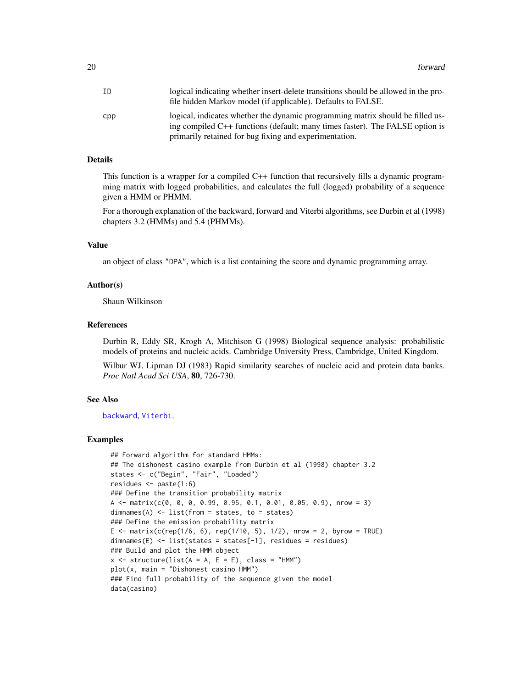<span id="page-19-0"></span>

| ΙD  | logical indicating whether insert-delete transitions should be allowed in the pro-                                                                             |
|-----|----------------------------------------------------------------------------------------------------------------------------------------------------------------|
|     | file hidden Markov model (if applicable). Defaults to FALSE.                                                                                                   |
| cpp | logical, indicates whether the dynamic programming matrix should be filled us-<br>ing compiled C++ functions (default; many times faster). The FALSE option is |
|     | primarily retained for bug fixing and experimentation.                                                                                                         |

#### Details

This function is a wrapper for a compiled C++ function that recursively fills a dynamic programming matrix with logged probabilities, and calculates the full (logged) probability of a sequence given a HMM or PHMM.

For a thorough explanation of the backward, forward and Viterbi algorithms, see Durbin et al (1998) chapters 3.2 (HMMs) and 5.4 (PHMMs).

#### Value

an object of class "DPA", which is a list containing the score and dynamic programming array.

#### Author(s)

Shaun Wilkinson

#### References

Durbin R, Eddy SR, Krogh A, Mitchison G (1998) Biological sequence analysis: probabilistic models of proteins and nucleic acids. Cambridge University Press, Cambridge, United Kingdom.

Wilbur WJ, Lipman DJ (1983) Rapid similarity searches of nucleic acid and protein data banks. *Proc Natl Acad Sci USA*, 80, 726-730.

# See Also

[backward](#page-8-1), [Viterbi](#page-37-1).

```
## Forward algorithm for standard HMMs:
## The dishonest casino example from Durbin et al (1998) chapter 3.2
states <- c("Begin", "Fair", "Loaded")
residues <- paste(1:6)
### Define the transition probability matrix
A <- matrix(c(0, 0, 0, 0.99, 0.95, 0.1, 0.01, 0.05, 0.9), nrow = 3)
dimnames(A) <- list(from = states, to = states)
### Define the emission probability matrix
E <- matrix(c(rep(1/6, 6), rep(1/10, 5), 1/2), nrow = 2, byrow = TRUE)
dimnames(E) <- list(states = states[-1], residues = residues)
### Build and plot the HMM object
x \le - structure(list(A = A, E = E), class = "HMM")
plot(x, main = "Dishonest \text{ casino HMM")}### Find full probability of the sequence given the model
data(casino)
```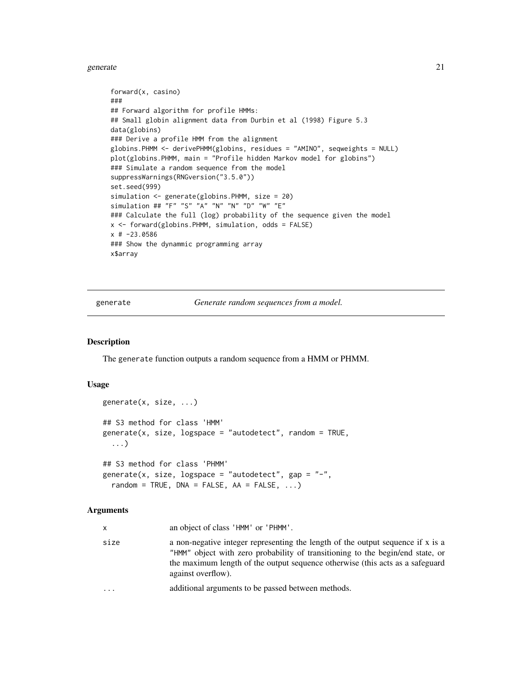#### <span id="page-20-0"></span>generate 21

```
forward(x, casino)
###
## Forward algorithm for profile HMMs:
## Small globin alignment data from Durbin et al (1998) Figure 5.3
data(globins)
### Derive a profile HMM from the alignment
globins.PHMM <- derivePHMM(globins, residues = "AMINO", seqweights = NULL)
plot(globins.PHMM, main = "Profile hidden Markov model for globins")
### Simulate a random sequence from the model
suppressWarnings(RNGversion("3.5.0"))
set.seed(999)
simulation <- generate(globins.PHMM, size = 20)
simulation ## "F" "S" "A" "N" "N" "D" "W" "E"
### Calculate the full (log) probability of the sequence given the model
x <- forward(globins.PHMM, simulation, odds = FALSE)
x # -23.0586
### Show the dynammic programming array
x$array
```
generate *Generate random sequences from a model.*

#### <span id="page-20-1"></span>Description

The generate function outputs a random sequence from a HMM or PHMM.

# Usage

```
generate(x, size, ...)
## S3 method for class 'HMM'
generate(x, size, logspace = "autodetect", random = TRUE,
  ...)
## S3 method for class 'PHMM'
generate(x, size, logspace = "autodetect", gap = "-",
  random = TRUE, DNA = FALSE, AA = FALSE, \ldots)
```
#### Arguments

| X         | an object of class 'HMM' or 'PHMM'.                                                                                                                                                                                                                                      |
|-----------|--------------------------------------------------------------------------------------------------------------------------------------------------------------------------------------------------------------------------------------------------------------------------|
| size      | a non-negative integer representing the length of the output sequence if x is a<br>"HMM" object with zero probability of transitioning to the begin/end state, or<br>the maximum length of the output sequence otherwise (this acts as a safeguard<br>against overflow). |
| $\ddotsc$ | additional arguments to be passed between methods.                                                                                                                                                                                                                       |
|           |                                                                                                                                                                                                                                                                          |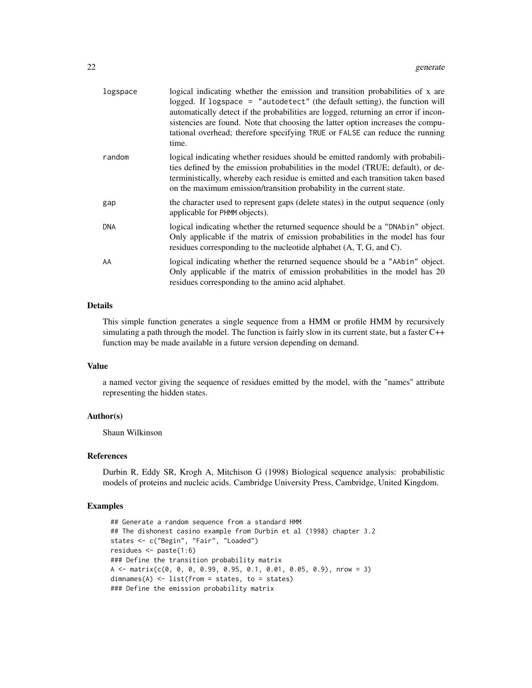| logspace   | logical indicating whether the emission and transition probabilities of x are<br>logged. If logspace = "autodetect" (the default setting), the function will<br>automatically detect if the probabilities are logged, returning an error if incon-<br>sistencies are found. Note that choosing the latter option increases the compu-<br>tational overhead; therefore specifying TRUE or FALSE can reduce the running<br>time. |
|------------|--------------------------------------------------------------------------------------------------------------------------------------------------------------------------------------------------------------------------------------------------------------------------------------------------------------------------------------------------------------------------------------------------------------------------------|
| random     | logical indicating whether residues should be emitted randomly with probabili-<br>ties defined by the emission probabilities in the model (TRUE; default), or de-<br>terministically, whereby each residue is emitted and each transition taken based<br>on the maximum emission/transition probability in the current state.                                                                                                  |
| gap        | the character used to represent gaps (delete states) in the output sequence (only<br>applicable for PHMM objects).                                                                                                                                                                                                                                                                                                             |
| <b>DNA</b> | logical indicating whether the returned sequence should be a "DNAbin" object.<br>Only applicable if the matrix of emission probabilities in the model has four<br>residues corresponding to the nucleotide alphabet (A, T, G, and C).                                                                                                                                                                                          |
| AA         | logical indicating whether the returned sequence should be a "AAbin" object.<br>Only applicable if the matrix of emission probabilities in the model has 20<br>residues corresponding to the amino acid alphabet.                                                                                                                                                                                                              |

# Details

This simple function generates a single sequence from a HMM or profile HMM by recursively simulating a path through the model. The function is fairly slow in its current state, but a faster C++ function may be made available in a future version depending on demand.

#### Value

a named vector giving the sequence of residues emitted by the model, with the "names" attribute representing the hidden states.

# Author(s)

Shaun Wilkinson

#### References

Durbin R, Eddy SR, Krogh A, Mitchison G (1998) Biological sequence analysis: probabilistic models of proteins and nucleic acids. Cambridge University Press, Cambridge, United Kingdom.

```
## Generate a random sequence from a standard HMM
## The dishonest casino example from Durbin et al (1998) chapter 3.2
states <- c("Begin", "Fair", "Loaded")
residues <- paste(1:6)
### Define the transition probability matrix
A \leq - matrix(c(0, 0, 0, 0.99, 0.95, 0.1, 0.01, 0.05, 0.9), nrow = 3)
dimensiones(A) \leq list(from = states, to = states)### Define the emission probability matrix
```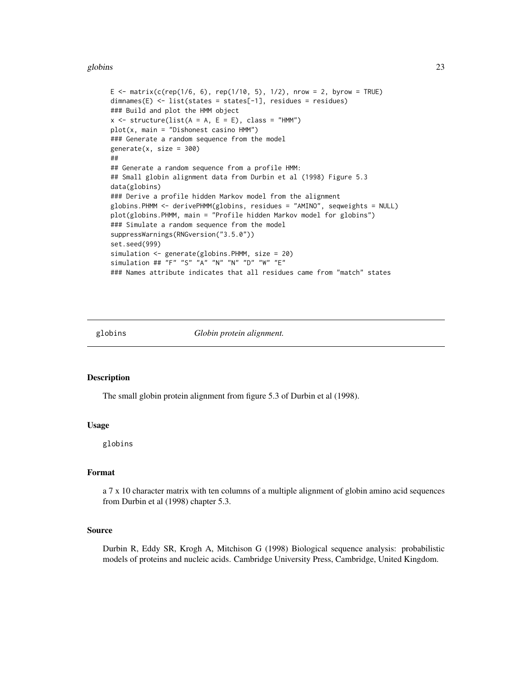#### <span id="page-22-0"></span>globins 23

```
E <- matrix(c(rep(1/6, 6), rep(1/10, 5), 1/2), nrow = 2, byrow = TRUE)
dimnames(E) <- list(states = states[-1], residues = residues)
### Build and plot the HMM object
x \le - structure(list(A = A, E = E), class = "HMM")
plot(x, main = "Dishonest casino HMM")
### Generate a random sequence from the model
generate(x, size = 300)##
## Generate a random sequence from a profile HMM:
## Small globin alignment data from Durbin et al (1998) Figure 5.3
data(globins)
### Derive a profile hidden Markov model from the alignment
globins.PHMM <- derivePHMM(globins, residues = "AMINO", seqweights = NULL)
plot(globins.PHMM, main = "Profile hidden Markov model for globins")
### Simulate a random sequence from the model
suppressWarnings(RNGversion("3.5.0"))
set.seed(999)
simulation <- generate(globins.PHMM, size = 20)
simulation ## "F" "S" "A" "N" "N" "D" "W" "E"
### Names attribute indicates that all residues came from "match" states
```
<span id="page-22-1"></span>

globins *Globin protein alignment.*

#### Description

The small globin protein alignment from figure 5.3 of Durbin et al (1998).

#### Usage

globins

# Format

a 7 x 10 character matrix with ten columns of a multiple alignment of globin amino acid sequences from Durbin et al (1998) chapter 5.3.

#### Source

Durbin R, Eddy SR, Krogh A, Mitchison G (1998) Biological sequence analysis: probabilistic models of proteins and nucleic acids. Cambridge University Press, Cambridge, United Kingdom.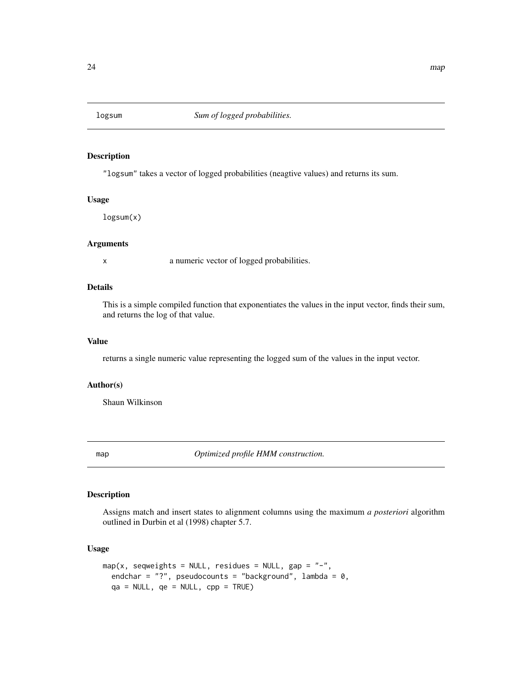<span id="page-23-0"></span>

#### Description

"logsum" takes a vector of logged probabilities (neagtive values) and returns its sum.

# Usage

logsum(x)

# Arguments

x a numeric vector of logged probabilities.

# Details

This is a simple compiled function that exponentiates the values in the input vector, finds their sum, and returns the log of that value.

#### Value

returns a single numeric value representing the logged sum of the values in the input vector.

# Author(s)

Shaun Wilkinson

<span id="page-23-1"></span>map *Optimized profile HMM construction.*

#### Description

Assigns match and insert states to alignment columns using the maximum *a posteriori* algorithm outlined in Durbin et al (1998) chapter 5.7.

# Usage

```
map(x, seqweights = NULL, residues = NULL, gap = "-",
 endchar = "?", pseudocounts = "background", lambda = 0,
  qa = NULL, qe = NULL, cp = TRUE)
```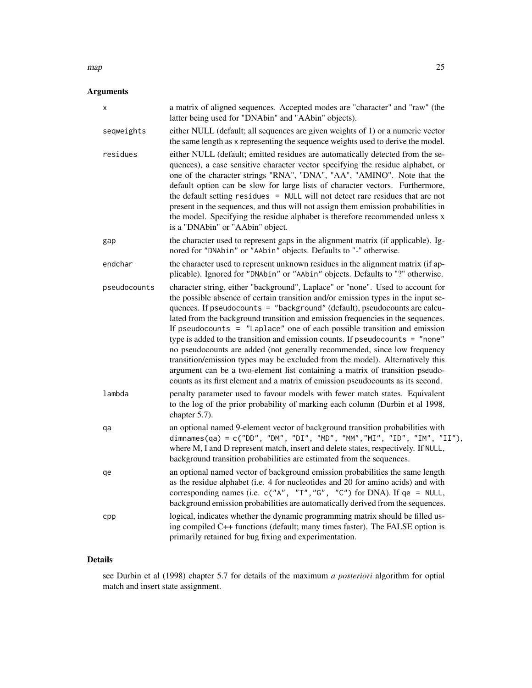#### $map$  25

# Arguments

| х            | a matrix of aligned sequences. Accepted modes are "character" and "raw" (the<br>latter being used for "DNAbin" and "AAbin" objects).                                                                                                                                                                                                                                                                                                                                                                                                                                                                                                                                                                                                                                                                                                  |
|--------------|---------------------------------------------------------------------------------------------------------------------------------------------------------------------------------------------------------------------------------------------------------------------------------------------------------------------------------------------------------------------------------------------------------------------------------------------------------------------------------------------------------------------------------------------------------------------------------------------------------------------------------------------------------------------------------------------------------------------------------------------------------------------------------------------------------------------------------------|
| seqweights   | either NULL (default; all sequences are given weights of 1) or a numeric vector<br>the same length as x representing the sequence weights used to derive the model.                                                                                                                                                                                                                                                                                                                                                                                                                                                                                                                                                                                                                                                                   |
| residues     | either NULL (default; emitted residues are automatically detected from the se-<br>quences), a case sensitive character vector specifying the residue alphabet, or<br>one of the character strings "RNA", "DNA", "AA", "AMINO". Note that the<br>default option can be slow for large lists of character vectors. Furthermore,<br>the default setting residues = NULL will not detect rare residues that are not<br>present in the sequences, and thus will not assign them emission probabilities in<br>the model. Specifying the residue alphabet is therefore recommended unless x<br>is a "DNAbin" or "AAbin" object.                                                                                                                                                                                                              |
| gap          | the character used to represent gaps in the alignment matrix (if applicable). Ig-<br>nored for "DNAbin" or "AAbin" objects. Defaults to "-" otherwise.                                                                                                                                                                                                                                                                                                                                                                                                                                                                                                                                                                                                                                                                                |
| endchar      | the character used to represent unknown residues in the alignment matrix (if ap-<br>plicable). Ignored for "DNAbin" or "AAbin" objects. Defaults to "?" otherwise.                                                                                                                                                                                                                                                                                                                                                                                                                                                                                                                                                                                                                                                                    |
| pseudocounts | character string, either "background", Laplace" or "none". Used to account for<br>the possible absence of certain transition and/or emission types in the input se-<br>quences. If pseudocounts = "background" (default), pseudocounts are calcu-<br>lated from the background transition and emission frequencies in the sequences.<br>If pseudocounts $=$ "Laplace" one of each possible transition and emission<br>type is added to the transition and emission counts. If pseudocounts = "none"<br>no pseudocounts are added (not generally recommended, since low frequency<br>transition/emission types may be excluded from the model). Alternatively this<br>argument can be a two-element list containing a matrix of transition pseudo-<br>counts as its first element and a matrix of emission pseudocounts as its second. |
| lambda       | penalty parameter used to favour models with fewer match states. Equivalent<br>to the log of the prior probability of marking each column (Durbin et al 1998,<br>chapter 5.7).                                                                                                                                                                                                                                                                                                                                                                                                                                                                                                                                                                                                                                                        |
| qa           | an optional named 9-element vector of background transition probabilities with<br>dimnames(qa) = c("DD", "DM", "DI", "MD", "MM","MI", "ID", "IM", "II"),<br>where M, I and D represent match, insert and delete states, respectively. If NULL,<br>background transition probabilities are estimated from the sequences.                                                                                                                                                                                                                                                                                                                                                                                                                                                                                                               |
| qe           | an optional named vector of background emission probabilities the same length<br>as the residue alphabet (i.e. 4 for nucleotides and 20 for amino acids) and with<br>corresponding names (i.e. c("A", "T","G", "C") for DNA). If qe = NULL,<br>background emission probabilities are automatically derived from the sequences.                                                                                                                                                                                                                                                                                                                                                                                                                                                                                                        |
| cpp          | logical, indicates whether the dynamic programming matrix should be filled us-<br>ing compiled C++ functions (default; many times faster). The FALSE option is<br>primarily retained for bug fixing and experimentation.                                                                                                                                                                                                                                                                                                                                                                                                                                                                                                                                                                                                              |

# Details

see Durbin et al (1998) chapter 5.7 for details of the maximum *a posteriori* algorithm for optial match and insert state assignment.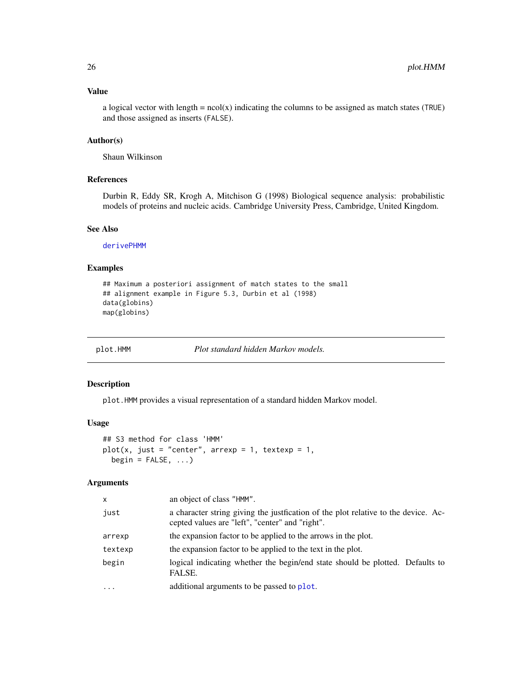# <span id="page-25-0"></span>Value

a logical vector with length =  $ncol(x)$  indicating the columns to be assigned as match states (TRUE) and those assigned as inserts (FALSE).

# Author(s)

Shaun Wilkinson

# References

Durbin R, Eddy SR, Krogh A, Mitchison G (1998) Biological sequence analysis: probabilistic models of proteins and nucleic acids. Cambridge University Press, Cambridge, United Kingdom.

# See Also

[derivePHMM](#page-13-1)

# Examples

```
## Maximum a posteriori assignment of match states to the small
## alignment example in Figure 5.3, Durbin et al (1998)
data(globins)
map(globins)
```
<span id="page-25-1"></span>

plot.HMM *Plot standard hidden Markov models.*

#### Description

plot.HMM provides a visual representation of a standard hidden Markov model.

#### Usage

```
## S3 method for class 'HMM'
plot(x, just = "center", array = 1, textexp = 1,begin = False, ...
```
# Arguments

| X         | an object of class "HMM".                                                                                                             |
|-----------|---------------------------------------------------------------------------------------------------------------------------------------|
| just      | a character string giving the justfication of the plot relative to the device. Ac-<br>cepted values are "left", "center" and "right". |
| arrexp    | the expansion factor to be applied to the arrows in the plot.                                                                         |
| textexp   | the expansion factor to be applied to the text in the plot.                                                                           |
| begin     | logical indicating whether the begin/end state should be plotted. Defaults to<br>FALSE.                                               |
| $\ddotsc$ | additional arguments to be passed to plot.                                                                                            |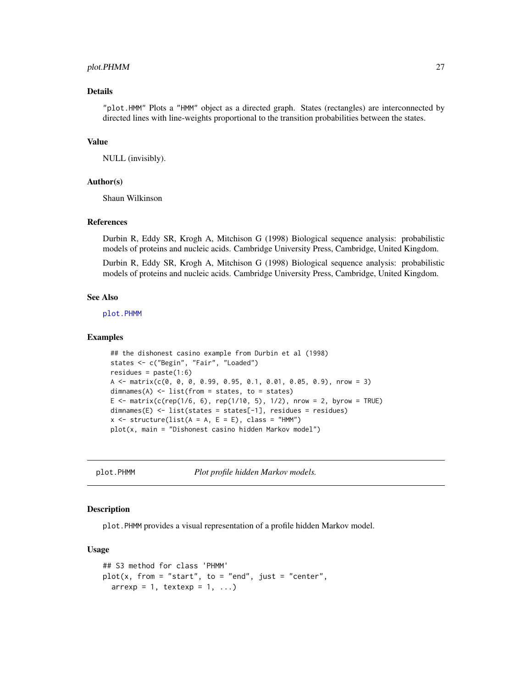#### <span id="page-26-0"></span>plot.PHMM 27

#### Details

"plot.HMM" Plots a "HMM" object as a directed graph. States (rectangles) are interconnected by directed lines with line-weights proportional to the transition probabilities between the states.

#### Value

NULL (invisibly).

#### Author(s)

Shaun Wilkinson

#### References

Durbin R, Eddy SR, Krogh A, Mitchison G (1998) Biological sequence analysis: probabilistic models of proteins and nucleic acids. Cambridge University Press, Cambridge, United Kingdom.

Durbin R, Eddy SR, Krogh A, Mitchison G (1998) Biological sequence analysis: probabilistic models of proteins and nucleic acids. Cambridge University Press, Cambridge, United Kingdom.

#### See Also

[plot.PHMM](#page-26-1)

#### Examples

```
## the dishonest casino example from Durbin et al (1998)
states <- c("Begin", "Fair", "Loaded")
residues = paste(1:6)
A <- matrix(c(0, 0, 0, 0.99, 0.95, 0.1, 0.01, 0.05, 0.9), nrow = 3)
dimnames(A) <- list(from = states, to = states)
E <- matrix(c(rep(1/6, 6), rep(1/10, 5), 1/2), nrow = 2, byrow = TRUE)
dimnames(E) <- list(states = states[-1], residues = residues)
x \le - structure(list(A = A, E = E), class = "HMM")
plot(x, main = "Dishonest casino hidden Markov model")
```
<span id="page-26-1"></span>plot.PHMM *Plot profile hidden Markov models.*

# **Description**

plot.PHMM provides a visual representation of a profile hidden Markov model.

#### Usage

```
## S3 method for class 'PHMM'
plot(x, from = "start", to = "end", just = "center",\ar{r}exp = 1, textexp = 1, ...)
```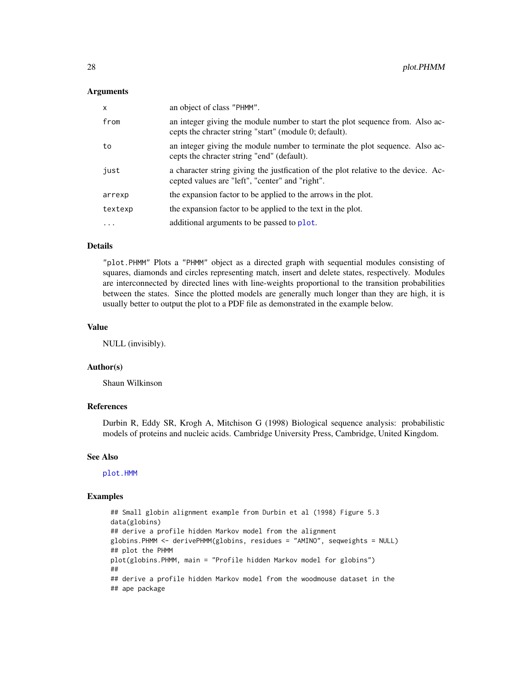#### <span id="page-27-0"></span>Arguments

| $\mathsf{x}$ | an object of class "PHMM".                                                                                                              |
|--------------|-----------------------------------------------------------------------------------------------------------------------------------------|
| from         | an integer giving the module number to start the plot sequence from. Also ac-<br>cepts the chracter string "start" (module 0; default). |
| to           | an integer giving the module number to terminate the plot sequence. Also ac-<br>cepts the chracter string "end" (default).              |
| just         | a character string giving the just fication of the plot relative to the device. Ac-<br>cepted values are "left", "center" and "right".  |
| arrexp       | the expansion factor to be applied to the arrows in the plot.                                                                           |
| textexp      | the expansion factor to be applied to the text in the plot.                                                                             |
| $\ddotsc$    | additional arguments to be passed to plot.                                                                                              |

# Details

"plot.PHMM" Plots a "PHMM" object as a directed graph with sequential modules consisting of squares, diamonds and circles representing match, insert and delete states, respectively. Modules are interconnected by directed lines with line-weights proportional to the transition probabilities between the states. Since the plotted models are generally much longer than they are high, it is usually better to output the plot to a PDF file as demonstrated in the example below.

#### Value

NULL (invisibly).

# Author(s)

Shaun Wilkinson

# References

Durbin R, Eddy SR, Krogh A, Mitchison G (1998) Biological sequence analysis: probabilistic models of proteins and nucleic acids. Cambridge University Press, Cambridge, United Kingdom.

#### See Also

[plot.HMM](#page-25-1)

```
## Small globin alignment example from Durbin et al (1998) Figure 5.3
data(globins)
## derive a profile hidden Markov model from the alignment
globins.PHMM <- derivePHMM(globins, residues = "AMINO", seqweights = NULL)
## plot the PHMM
plot(globins.PHMM, main = "Profile hidden Markov model for globins")
##
## derive a profile hidden Markov model from the woodmouse dataset in the
## ape package
```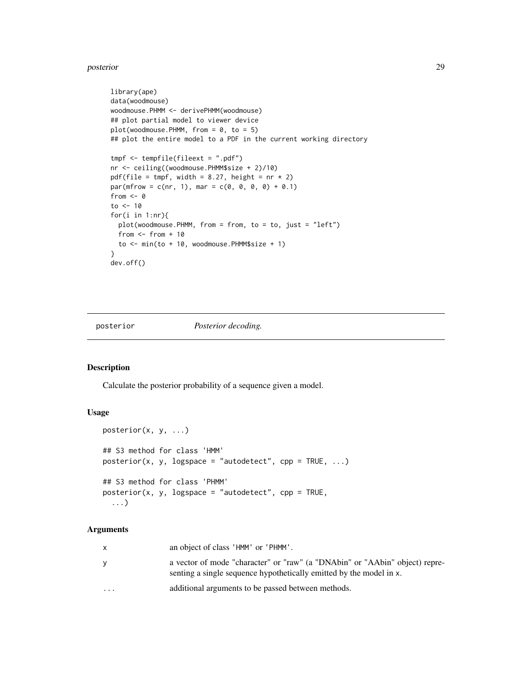#### <span id="page-28-0"></span>posterior and the contract of the contract of the contract of the contract of the contract of the contract of the contract of the contract of the contract of the contract of the contract of the contract of the contract of

```
library(ape)
data(woodmouse)
woodmouse.PHMM <- derivePHMM(woodmouse)
## plot partial model to viewer device
plot(woodmouse.PHMM, from = 0, to = 5)## plot the entire model to a PDF in the current working directory
tmpf <- tempfile(fileext = ".pdf")
nr <- ceiling((woodmouse.PHMM$size + 2)/10)
pdf(file = tmpf, width = 8.27, height = nr * 2)
par(mfrow = c(nr, 1), mar = c(0, 0, 0, 0) + 0.1)from <-0to <- 10
for(i in 1:nr){
 plot(woodmouse.PHMM, from = from, to = to, just = "left")
 from <- from + 10
 to <- min(to + 10, woodmouse.PHMM$size + 1)
}
dev.off()
```
<span id="page-28-1"></span>

posterior *Posterior decoding.*

# Description

Calculate the posterior probability of a sequence given a model.

# Usage

```
posterior(x, y, ...)
## S3 method for class 'HMM'
posterior(x, y, logspace = "autodetect", cp = TRUE, ...)## S3 method for class 'PHMM'
posterior(x, y, logspace = "autodetect", cp = TRUE,...)
```
# Arguments

| X        | an object of class 'HMM' or 'PHMM'.                                                                                                                |
|----------|----------------------------------------------------------------------------------------------------------------------------------------------------|
| У        | a vector of mode "character" or "raw" (a "DNAbin" or "AAbin" object) repre-<br>senting a single sequence hypothetically emitted by the model in x. |
| $\cdots$ | additional arguments to be passed between methods.                                                                                                 |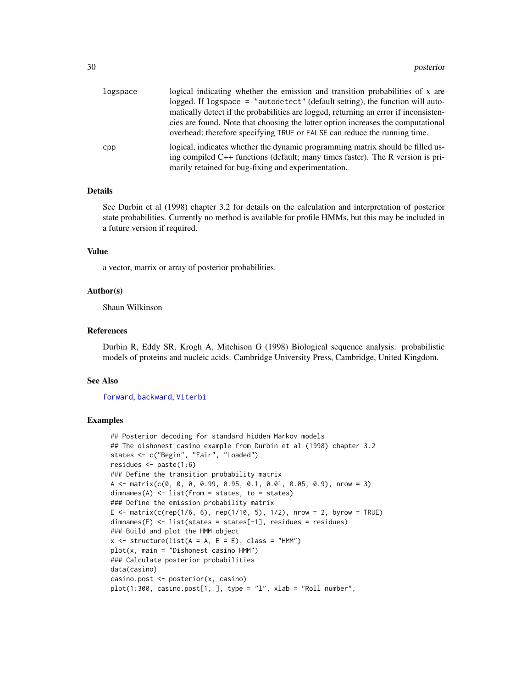<span id="page-29-0"></span>

| logspace | logical indicating whether the emission and transition probabilities of x are                                                                                    |
|----------|------------------------------------------------------------------------------------------------------------------------------------------------------------------|
|          | logged. If logspace = "autodetect" (default setting), the function will auto-                                                                                    |
|          | matically detect if the probabilities are logged, returning an error if inconsisten-                                                                             |
|          | cies are found. Note that choosing the latter option increases the computational<br>overhead; therefore specifying TRUE or FALSE can reduce the running time.    |
| cpp      | logical, indicates whether the dynamic programming matrix should be filled us-<br>ing compiled C++ functions (default; many times faster). The R version is pri- |
|          | marily retained for bug-fixing and experimentation.                                                                                                              |

# Details

See Durbin et al (1998) chapter 3.2 for details on the calculation and interpretation of posterior state probabilities. Currently no method is available for profile HMMs, but this may be included in a future version if required.

#### Value

a vector, matrix or array of posterior probabilities.

#### Author(s)

Shaun Wilkinson

# References

Durbin R, Eddy SR, Krogh A, Mitchison G (1998) Biological sequence analysis: probabilistic models of proteins and nucleic acids. Cambridge University Press, Cambridge, United Kingdom.

#### See Also

[forward](#page-18-1), [backward](#page-8-1), [Viterbi](#page-37-1)

```
## Posterior decoding for standard hidden Markov models
## The dishonest casino example from Durbin et al (1998) chapter 3.2
states <- c("Begin", "Fair", "Loaded")
residues <- paste(1:6)
### Define the transition probability matrix
A \leq matrix(c(0, 0, 0, 0.99, 0.95, 0.1, 0.01, 0.05, 0.9), nrow = 3)
dimnames(A) \leq list(from = states, to = states)
### Define the emission probability matrix
E <- matrix(c(rep(1/6, 6), rep(1/10, 5), 1/2), nrow = 2, byrow = TRUE)
dimnames(E) <- list(states = states[-1], residues = residues)
### Build and plot the HMM object
x \le structure(list(A = A, E = E), class = "HMM")
plot(x, main = "Dishonest casino HMM")
### Calculate posterior probabilities
data(casino)
casino.post <- posterior(x, casino)
plot(1:300, \text{casino.post}[1,], \text{type} = "l", \text{slab} = "Roll number",
```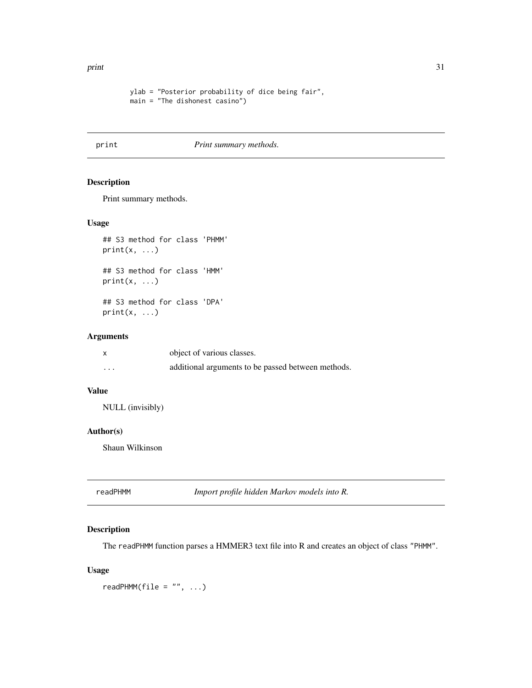<span id="page-30-0"></span>print 31

```
ylab = "Posterior probability of dice being fair",
main = "The dishonest casino")
```
# print *Print summary methods.*

# Description

Print summary methods.

#### Usage

```
## S3 method for class 'PHMM'
print(x, \ldots)## S3 method for class 'HMM'
print(x, \ldots)## S3 method for class 'DPA'
print(x, \ldots)
```
#### Arguments

|         | object of various classes.                         |
|---------|----------------------------------------------------|
| $\cdot$ | additional arguments to be passed between methods. |

# Value

NULL (invisibly)

# Author(s)

Shaun Wilkinson

<span id="page-30-1"></span>

| Import profile hidden Markov models into R.<br>readPHMM |
|---------------------------------------------------------|
|                                                         |

# Description

The readPHMM function parses a HMMER3 text file into R and creates an object of class "PHMM".

# Usage

 $readPHMM(file = "", ...)$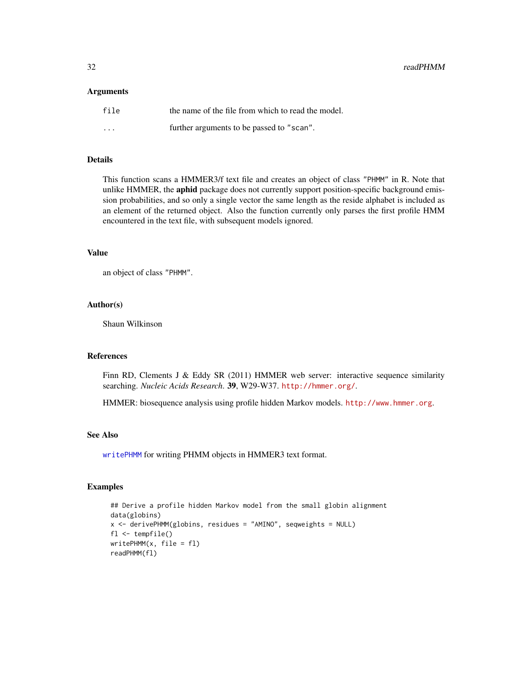<span id="page-31-0"></span>32 readPHMM

#### Arguments

| file    | the name of the file from which to read the model. |
|---------|----------------------------------------------------|
| $\cdot$ | further arguments to be passed to "scan".          |

#### Details

This function scans a HMMER3/f text file and creates an object of class "PHMM" in R. Note that unlike HMMER, the aphid package does not currently support position-specific background emission probabilities, and so only a single vector the same length as the reside alphabet is included as an element of the returned object. Also the function currently only parses the first profile HMM encountered in the text file, with subsequent models ignored.

# Value

an object of class "PHMM".

#### Author(s)

Shaun Wilkinson

# References

Finn RD, Clements J & Eddy SR (2011) HMMER web server: interactive sequence similarity searching. *Nucleic Acids Research*. 39, W29-W37. <http://hmmer.org/>.

HMMER: biosequence analysis using profile hidden Markov models. <http://www.hmmer.org>.

# See Also

[writePHMM](#page-42-1) for writing PHMM objects in HMMER3 text format.

```
## Derive a profile hidden Markov model from the small globin alignment
data(globins)
x <- derivePHMM(globins, residues = "AMINO", seqweights = NULL)
fl <- tempfile()
writePHMM(x, file = fl)
readPHMM(fl)
```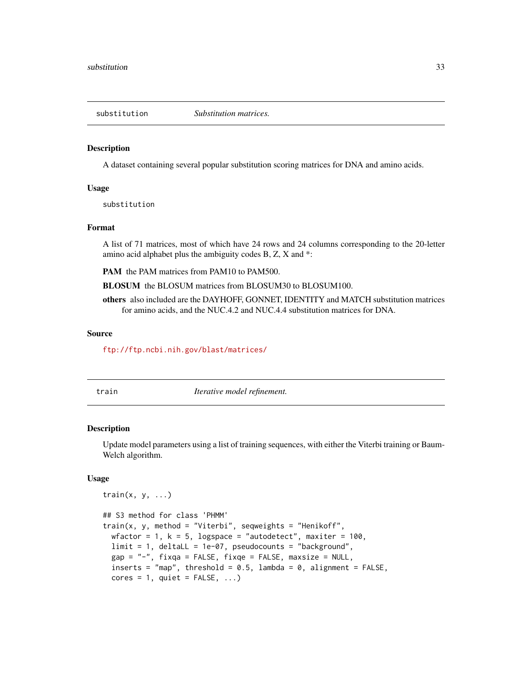<span id="page-32-2"></span><span id="page-32-0"></span>

#### Description

A dataset containing several popular substitution scoring matrices for DNA and amino acids.

#### Usage

substitution

# Format

A list of 71 matrices, most of which have 24 rows and 24 columns corresponding to the 20-letter amino acid alphabet plus the ambiguity codes B, Z, X and \*:

PAM the PAM matrices from PAM10 to PAM500.

BLOSUM the BLOSUM matrices from BLOSUM30 to BLOSUM100.

others also included are the DAYHOFF, GONNET, IDENTITY and MATCH substitution matrices for amino acids, and the NUC.4.2 and NUC.4.4 substitution matrices for DNA.

#### Source

<ftp://ftp.ncbi.nih.gov/blast/matrices/>

<span id="page-32-1"></span>

| aın |  |
|-----|--|
|     |  |

Iterative model refinement.

#### <span id="page-32-3"></span>Description

Update model parameters using a list of training sequences, with either the Viterbi training or Baum-Welch algorithm.

#### Usage

```
train(x, y, \ldots)## S3 method for class 'PHMM'
train(x, y, method = "Viterbi", seqweights = "Henikoff",
 wfactor = 1, k = 5, logspace = "autodetect", maxiter = 100,
 limit = 1, deltaLL = 1e-07, pseudocounts = "background",
 gap = "-", fixqa = FALSE, fixqe = FALSE, maxsize = NULL,
  inserts = "map", threshold = 0.5, lambda = 0, alignment = FALSE,
  cores = 1, quite = FALSE, ...)
```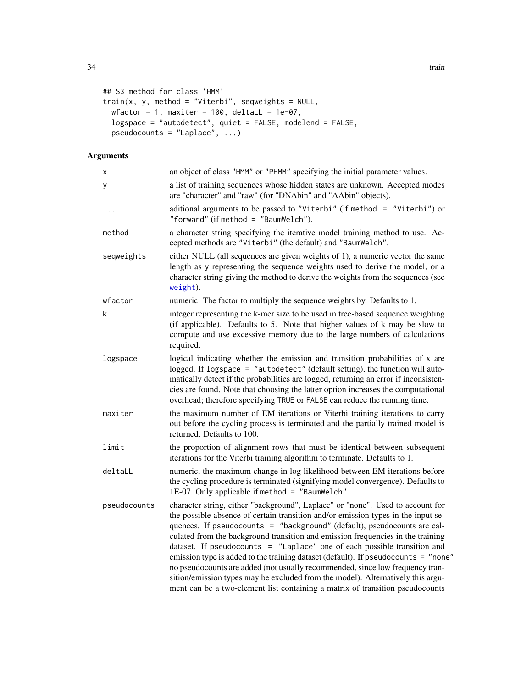```
## S3 method for class 'HMM'
train(x, y, method = "Viterbi", seqweights = NULL,
 wfactor = 1, maxiter = 100, deltaLL = 1e-07,
  logspace = "autodetect", quiet = FALSE, modelend = FALSE,
  pseudocounts = "Laplace", ...)
```
# Arguments

| Χ            | an object of class "HMM" or "PHMM" specifying the initial parameter values.                                                                                                                                                                                                                                                                                                                                                                                                                                                                                                                                                                                                                                                                               |  |
|--------------|-----------------------------------------------------------------------------------------------------------------------------------------------------------------------------------------------------------------------------------------------------------------------------------------------------------------------------------------------------------------------------------------------------------------------------------------------------------------------------------------------------------------------------------------------------------------------------------------------------------------------------------------------------------------------------------------------------------------------------------------------------------|--|
| У            | a list of training sequences whose hidden states are unknown. Accepted modes<br>are "character" and "raw" (for "DNAbin" and "AAbin" objects).                                                                                                                                                                                                                                                                                                                                                                                                                                                                                                                                                                                                             |  |
| $\cdots$     | aditional arguments to be passed to "Viterbi" (if method = "Viterbi") or<br>"forward" (if method = "BaumWelch").                                                                                                                                                                                                                                                                                                                                                                                                                                                                                                                                                                                                                                          |  |
| method       | a character string specifying the iterative model training method to use. Ac-<br>cepted methods are "Viterbi" (the default) and "BaumWelch".                                                                                                                                                                                                                                                                                                                                                                                                                                                                                                                                                                                                              |  |
| seqweights   | either NULL (all sequences are given weights of 1), a numeric vector the same<br>length as y representing the sequence weights used to derive the model, or a<br>character string giving the method to derive the weights from the sequences (see<br>weight).                                                                                                                                                                                                                                                                                                                                                                                                                                                                                             |  |
| wfactor      | numeric. The factor to multiply the sequence weights by. Defaults to 1.                                                                                                                                                                                                                                                                                                                                                                                                                                                                                                                                                                                                                                                                                   |  |
| k            | integer representing the k-mer size to be used in tree-based sequence weighting<br>(if applicable). Defaults to 5. Note that higher values of k may be slow to<br>compute and use excessive memory due to the large numbers of calculations<br>required.                                                                                                                                                                                                                                                                                                                                                                                                                                                                                                  |  |
| logspace     | logical indicating whether the emission and transition probabilities of x are<br>logged. If logspace = "autodetect" (default setting), the function will auto-<br>matically detect if the probabilities are logged, returning an error if inconsisten-<br>cies are found. Note that choosing the latter option increases the computational<br>overhead; therefore specifying TRUE or FALSE can reduce the running time.                                                                                                                                                                                                                                                                                                                                   |  |
| maxiter      | the maximum number of EM iterations or Viterbi training iterations to carry<br>out before the cycling process is terminated and the partially trained model is<br>returned. Defaults to 100.                                                                                                                                                                                                                                                                                                                                                                                                                                                                                                                                                              |  |
| limit        | the proportion of alignment rows that must be identical between subsequent<br>iterations for the Viterbi training algorithm to terminate. Defaults to 1.                                                                                                                                                                                                                                                                                                                                                                                                                                                                                                                                                                                                  |  |
| deltaLL      | numeric, the maximum change in log likelihood between EM iterations before<br>the cycling procedure is terminated (signifying model convergence). Defaults to<br>1E-07. Only applicable if method = "BaumWelch".                                                                                                                                                                                                                                                                                                                                                                                                                                                                                                                                          |  |
| pseudocounts | character string, either "background", Laplace" or "none". Used to account for<br>the possible absence of certain transition and/or emission types in the input se-<br>quences. If pseudocounts = "background" (default), pseudocounts are cal-<br>culated from the background transition and emission frequencies in the training<br>dataset. If pseudocounts = "Laplace" one of each possible transition and<br>emission type is added to the training dataset (default). If pseudocounts = "none"<br>no pseudocounts are added (not usually recommended, since low frequency tran-<br>sition/emission types may be excluded from the model). Alternatively this argu-<br>ment can be a two-element list containing a matrix of transition pseudocounts |  |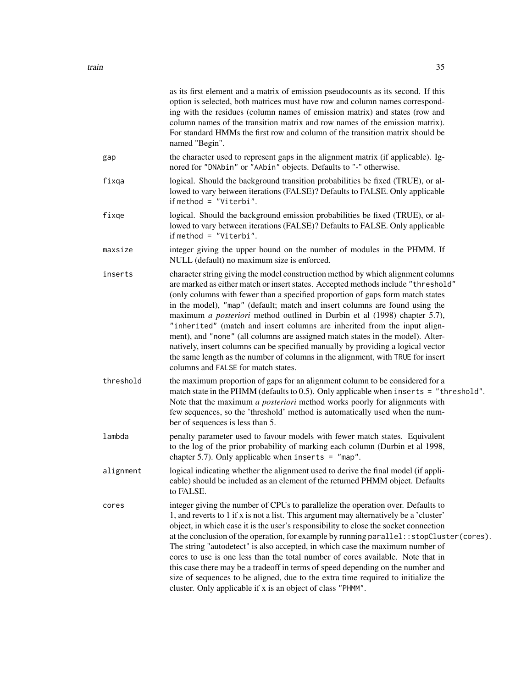|           | as its first element and a matrix of emission pseudocounts as its second. If this<br>option is selected, both matrices must have row and column names correspond-<br>ing with the residues (column names of emission matrix) and states (row and<br>column names of the transition matrix and row names of the emission matrix).<br>For standard HMMs the first row and column of the transition matrix should be<br>named "Begin".                                                                                                                                                                                                                                                                                                                                                              |
|-----------|--------------------------------------------------------------------------------------------------------------------------------------------------------------------------------------------------------------------------------------------------------------------------------------------------------------------------------------------------------------------------------------------------------------------------------------------------------------------------------------------------------------------------------------------------------------------------------------------------------------------------------------------------------------------------------------------------------------------------------------------------------------------------------------------------|
| gap       | the character used to represent gaps in the alignment matrix (if applicable). Ig-<br>nored for "DNAbin" or "AAbin" objects. Defaults to "-" otherwise.                                                                                                                                                                                                                                                                                                                                                                                                                                                                                                                                                                                                                                           |
| fixqa     | logical. Should the background transition probabilities be fixed (TRUE), or al-<br>lowed to vary between iterations (FALSE)? Defaults to FALSE. Only applicable<br>if method = $"Viterbi".$                                                                                                                                                                                                                                                                                                                                                                                                                                                                                                                                                                                                      |
| fixqe     | logical. Should the background emission probabilities be fixed (TRUE), or al-<br>lowed to vary between iterations (FALSE)? Defaults to FALSE. Only applicable<br>if method = $"Viterbi".$                                                                                                                                                                                                                                                                                                                                                                                                                                                                                                                                                                                                        |
| maxsize   | integer giving the upper bound on the number of modules in the PHMM. If<br>NULL (default) no maximum size is enforced.                                                                                                                                                                                                                                                                                                                                                                                                                                                                                                                                                                                                                                                                           |
| inserts   | character string giving the model construction method by which alignment columns<br>are marked as either match or insert states. Accepted methods include "threshold"<br>(only columns with fewer than a specified proportion of gaps form match states<br>in the model), "map" (default; match and insert columns are found using the<br>maximum a posteriori method outlined in Durbin et al (1998) chapter 5.7),<br>"inherited" (match and insert columns are inherited from the input align-<br>ment), and "none" (all columns are assigned match states in the model). Alter-<br>natively, insert columns can be specified manually by providing a logical vector<br>the same length as the number of columns in the alignment, with TRUE for insert<br>columns and FALSE for match states. |
| threshold | the maximum proportion of gaps for an alignment column to be considered for a<br>match state in the PHMM (defaults to 0.5). Only applicable when inserts = "threshold".<br>Note that the maximum a posteriori method works poorly for alignments with<br>few sequences, so the 'threshold' method is automatically used when the num-<br>ber of sequences is less than 5.                                                                                                                                                                                                                                                                                                                                                                                                                        |
| lambda    | penalty parameter used to favour models with fewer match states. Equivalent<br>to the log of the prior probability of marking each column (Durbin et al 1998,<br>chapter 5.7). Only applicable when inserts = $"map".$                                                                                                                                                                                                                                                                                                                                                                                                                                                                                                                                                                           |
| alignment | logical indicating whether the alignment used to derive the final model (if appli-<br>cable) should be included as an element of the returned PHMM object. Defaults<br>to FALSE.                                                                                                                                                                                                                                                                                                                                                                                                                                                                                                                                                                                                                 |
| cores     | integer giving the number of CPUs to parallelize the operation over. Defaults to<br>1, and reverts to 1 if x is not a list. This argument may alternatively be a 'cluster'<br>object, in which case it is the user's responsibility to close the socket connection<br>at the conclusion of the operation, for example by running parallel: : stopCluster(cores).<br>The string "autodetect" is also accepted, in which case the maximum number of<br>cores to use is one less than the total number of cores available. Note that in<br>this case there may be a tradeoff in terms of speed depending on the number and<br>size of sequences to be aligned, due to the extra time required to initialize the<br>cluster. Only applicable if x is an object of class "PHMM".                      |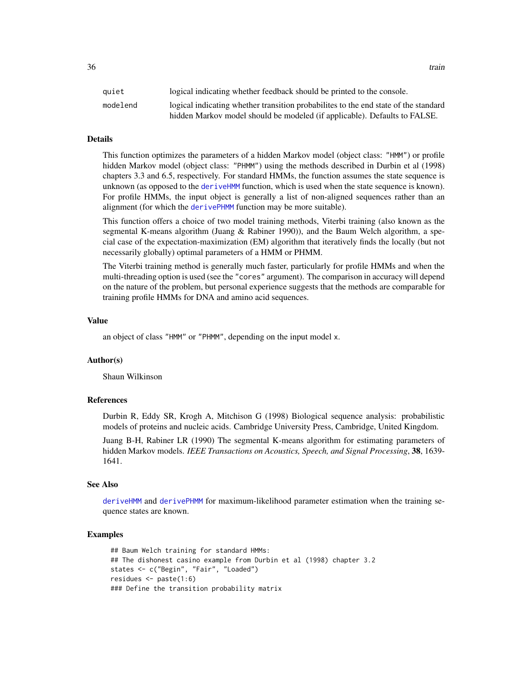<span id="page-35-0"></span>quiet logical indicating whether feedback should be printed to the console. modelend logical indicating whether transition probabilites to the end state of the standard hidden Markov model should be modeled (if applicable). Defaults to FALSE.

### Details

This function optimizes the parameters of a hidden Markov model (object class: "HMM") or profile hidden Markov model (object class: "PHMM") using the methods described in Durbin et al (1998) chapters 3.3 and 6.5, respectively. For standard HMMs, the function assumes the state sequence is unknown (as opposed to the [deriveHMM](#page-11-1) function, which is used when the state sequence is known). For profile HMMs, the input object is generally a list of non-aligned sequences rather than an alignment (for which the [derivePHMM](#page-13-1) function may be more suitable).

This function offers a choice of two model training methods, Viterbi training (also known as the segmental K-means algorithm (Juang & Rabiner 1990)), and the Baum Welch algorithm, a special case of the expectation-maximization (EM) algorithm that iteratively finds the locally (but not necessarily globally) optimal parameters of a HMM or PHMM.

The Viterbi training method is generally much faster, particularly for profile HMMs and when the multi-threading option is used (see the "cores" argument). The comparison in accuracy will depend on the nature of the problem, but personal experience suggests that the methods are comparable for training profile HMMs for DNA and amino acid sequences.

#### Value

an object of class "HMM" or "PHMM", depending on the input model x.

#### Author(s)

Shaun Wilkinson

#### References

Durbin R, Eddy SR, Krogh A, Mitchison G (1998) Biological sequence analysis: probabilistic models of proteins and nucleic acids. Cambridge University Press, Cambridge, United Kingdom.

Juang B-H, Rabiner LR (1990) The segmental K-means algorithm for estimating parameters of hidden Markov models. *IEEE Transactions on Acoustics, Speech, and Signal Processing*, 38, 1639- 1641.

#### See Also

[deriveHMM](#page-11-1) and [derivePHMM](#page-13-1) for maximum-likelihood parameter estimation when the training sequence states are known.

```
## Baum Welch training for standard HMMs:
## The dishonest casino example from Durbin et al (1998) chapter 3.2
states <- c("Begin", "Fair", "Loaded")
residues <- paste(1:6)
### Define the transition probability matrix
```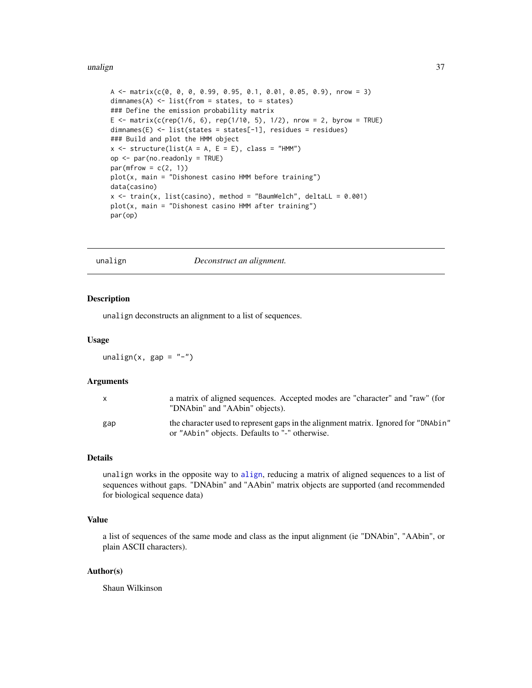#### <span id="page-36-0"></span>unalign 37

```
A \leq - matrix(c(0, 0, 0, 0.99, 0.95, 0.1, 0.01, 0.05, 0.9), nrow = 3)
dimnames(A) <- list(from = states, to = states)
### Define the emission probability matrix
E <- matrix(c(rep(1/6, 6), rep(1/10, 5), 1/2), nrow = 2, byrow = TRUE)
dimnames(E) <- list(states = states[-1], residues = residues)
### Build and plot the HMM object
x \le - structure(list(A = A, E = E), class = "HMM")
op <- par(no.readonly = TRUE)
par(mfrow = c(2, 1))plot(x, main = "Dishonest casino HMM before training")
data(casino)
x \le train(x, list(casino), method = "BaumWelch", deltaLL = 0.001)
plot(x, main = "Dishonest casino HMM after training")
par(op)
```
unalign *Deconstruct an alignment.*

#### Description

unalign deconstructs an alignment to a list of sequences.

# Usage

 $unalign(x, gap = "-'")$ 

# Arguments

| X   | a matrix of aligned sequences. Accepted modes are "character" and "raw" (for<br>"DNAbin" and "AAbin" objects).                       |
|-----|--------------------------------------------------------------------------------------------------------------------------------------|
| gap | the character used to represent gaps in the alignment matrix. Ignored for "DNAbin"<br>or "AAbin" objects. Defaults to "-" otherwise. |

#### Details

unalign works in the opposite way to [align](#page-1-1), reducing a matrix of aligned sequences to a list of sequences without gaps. "DNAbin" and "AAbin" matrix objects are supported (and recommended for biological sequence data)

#### Value

a list of sequences of the same mode and class as the input alignment (ie "DNAbin", "AAbin", or plain ASCII characters).

#### Author(s)

Shaun Wilkinson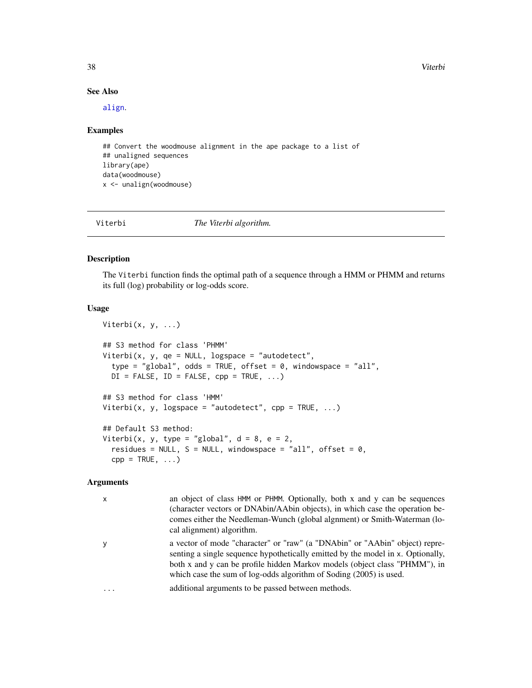38 Viterbi

#### See Also

[align](#page-1-1).

#### Examples

```
## Convert the woodmouse alignment in the ape package to a list of
## unaligned sequences
library(ape)
data(woodmouse)
x <- unalign(woodmouse)
```
<span id="page-37-1"></span>Viterbi *The Viterbi algorithm.*

#### Description

The Viterbi function finds the optimal path of a sequence through a HMM or PHMM and returns its full (log) probability or log-odds score.

#### Usage

```
Viterbi(x, y, ...)
## S3 method for class 'PHMM'
Viterbi(x, y, qe = NULL, logspace = "autodetect",
  type = "global", odds = TRUE, offset = \theta, windowspace = "all",
  DI = FALSE, ID = FALSE, cp = TRUE, ...)## S3 method for class 'HMM'
Viterbi(x, y, logspace = "autodetect", cpp = TRUE, \ldots)
## Default S3 method:
Viterbi(x, y, type = "global", d = 8, e = 2,
  residues = NULL, S = NULL, windowspace = "all", offset = 0,
  cpp = TRUE, ...
```
#### Arguments

x an object of class HMM or PHMM. Optionally, both x and y can be sequences (character vectors or DNAbin/AAbin objects), in which case the operation becomes either the Needleman-Wunch (global algnment) or Smith-Waterman (local alignment) algorithm.

y a vector of mode "character" or "raw" (a "DNAbin" or "AAbin" object) representing a single sequence hypothetically emitted by the model in x. Optionally, both x and y can be profile hidden Markov models (object class "PHMM"), in which case the sum of log-odds algorithm of Soding (2005) is used.

```
... additional arguments to be passed between methods.
```
<span id="page-37-0"></span>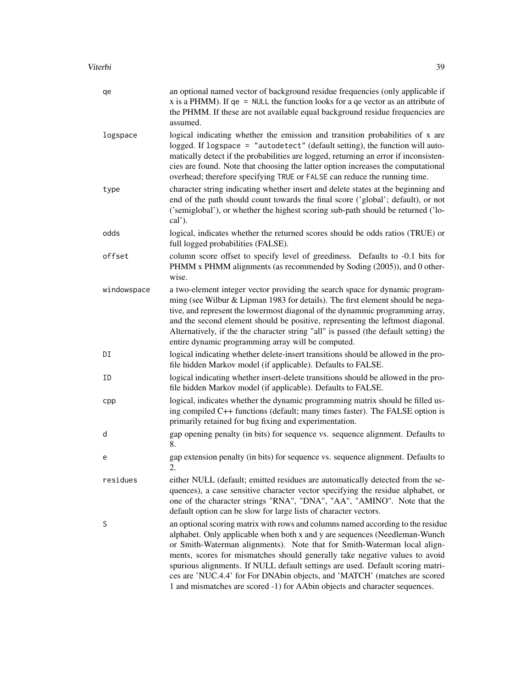| qe          | an optional named vector of background residue frequencies (only applicable if<br>x is a PHMM). If $qe = NULL$ the function looks for a $qe$ vector as an attribute of<br>the PHMM. If these are not available equal background residue frequencies are<br>assumed.                                                                                                                                                                                                                                                                                                   |
|-------------|-----------------------------------------------------------------------------------------------------------------------------------------------------------------------------------------------------------------------------------------------------------------------------------------------------------------------------------------------------------------------------------------------------------------------------------------------------------------------------------------------------------------------------------------------------------------------|
| logspace    | logical indicating whether the emission and transition probabilities of x are<br>logged. If logspace = "autodetect" (default setting), the function will auto-<br>matically detect if the probabilities are logged, returning an error if inconsisten-<br>cies are found. Note that choosing the latter option increases the computational<br>overhead; therefore specifying TRUE or FALSE can reduce the running time.                                                                                                                                               |
| type        | character string indicating whether insert and delete states at the beginning and<br>end of the path should count towards the final score ('global'; default), or not<br>('semiglobal'), or whether the highest scoring sub-path should be returned ('lo-<br>$cal$ ').                                                                                                                                                                                                                                                                                                |
| odds        | logical, indicates whether the returned scores should be odds ratios (TRUE) or<br>full logged probabilities (FALSE).                                                                                                                                                                                                                                                                                                                                                                                                                                                  |
| offset      | column score offset to specify level of greediness. Defaults to -0.1 bits for<br>PHMM x PHMM alignments (as recommended by Soding (2005)), and 0 other-<br>wise.                                                                                                                                                                                                                                                                                                                                                                                                      |
| windowspace | a two-element integer vector providing the search space for dynamic program-<br>ming (see Wilbur & Lipman 1983 for details). The first element should be nega-<br>tive, and represent the lowermost diagonal of the dynammic programming array,<br>and the second element should be positive, representing the leftmost diagonal.<br>Alternatively, if the the character string "all" is passed (the default setting) the<br>entire dynamic programming array will be computed.                                                                                       |
| DI          | logical indicating whether delete-insert transitions should be allowed in the pro-<br>file hidden Markov model (if applicable). Defaults to FALSE.                                                                                                                                                                                                                                                                                                                                                                                                                    |
| ID          | logical indicating whether insert-delete transitions should be allowed in the pro-<br>file hidden Markov model (if applicable). Defaults to FALSE.                                                                                                                                                                                                                                                                                                                                                                                                                    |
| cpp         | logical, indicates whether the dynamic programming matrix should be filled us-<br>ing compiled C++ functions (default; many times faster). The FALSE option is<br>primarily retained for bug fixing and experimentation.                                                                                                                                                                                                                                                                                                                                              |
| d           | gap opening penalty (in bits) for sequence vs. sequence alignment. Defaults to<br>8.                                                                                                                                                                                                                                                                                                                                                                                                                                                                                  |
| e           | gap extension penalty (in bits) for sequence vs. sequence alignment. Defaults to<br>2.                                                                                                                                                                                                                                                                                                                                                                                                                                                                                |
| residues    | either NULL (default; emitted residues are automatically detected from the se-<br>quences), a case sensitive character vector specifying the residue alphabet, or<br>one of the character strings "RNA", "DNA", "AA", "AMINO". Note that the<br>default option can be slow for large lists of character vectors.                                                                                                                                                                                                                                                      |
| S           | an optional scoring matrix with rows and columns named according to the residue<br>alphabet. Only applicable when both x and y are sequences (Needleman-Wunch<br>or Smith-Waterman alignments). Note that for Smith-Waterman local align-<br>ments, scores for mismatches should generally take negative values to avoid<br>spurious alignments. If NULL default settings are used. Default scoring matri-<br>ces are 'NUC.4.4' for For DNAbin objects, and 'MATCH' (matches are scored<br>1 and mismatches are scored -1) for AAbin objects and character sequences. |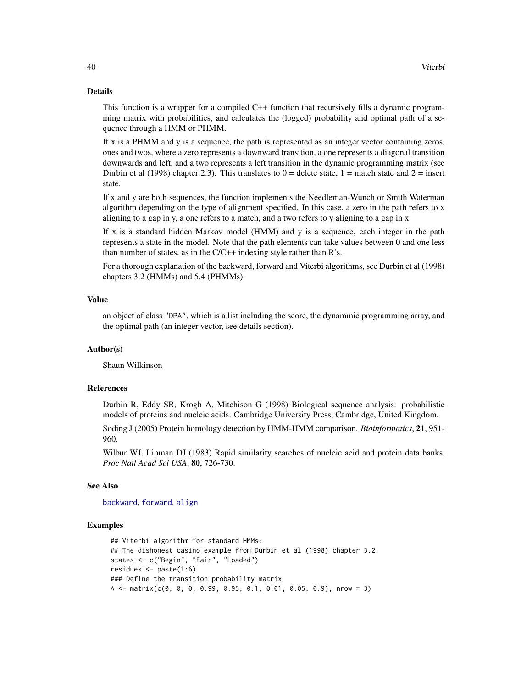# Details

This function is a wrapper for a compiled C++ function that recursively fills a dynamic programming matrix with probabilities, and calculates the (logged) probability and optimal path of a sequence through a HMM or PHMM.

If  $x$  is a PHMM and  $y$  is a sequence, the path is represented as an integer vector containing zeros, ones and twos, where a zero represents a downward transition, a one represents a diagonal transition downwards and left, and a two represents a left transition in the dynamic programming matrix (see Durbin et al (1998) chapter 2.3). This translates to  $0 =$  delete state,  $1 =$  match state and  $2 =$  insert state.

If x and y are both sequences, the function implements the Needleman-Wunch or Smith Waterman algorithm depending on the type of alignment specified. In this case, a zero in the path refers to x aligning to a gap in y, a one refers to a match, and a two refers to y aligning to a gap in x.

If x is a standard hidden Markov model (HMM) and y is a sequence, each integer in the path represents a state in the model. Note that the path elements can take values between 0 and one less than number of states, as in the  $C/C++$  indexing style rather than  $R$ 's.

For a thorough explanation of the backward, forward and Viterbi algorithms, see Durbin et al (1998) chapters 3.2 (HMMs) and 5.4 (PHMMs).

#### Value

an object of class "DPA", which is a list including the score, the dynammic programming array, and the optimal path (an integer vector, see details section).

#### Author(s)

Shaun Wilkinson

# References

Durbin R, Eddy SR, Krogh A, Mitchison G (1998) Biological sequence analysis: probabilistic models of proteins and nucleic acids. Cambridge University Press, Cambridge, United Kingdom.

Soding J (2005) Protein homology detection by HMM-HMM comparison. *Bioinformatics*, 21, 951- 960.

Wilbur WJ, Lipman DJ (1983) Rapid similarity searches of nucleic acid and protein data banks. *Proc Natl Acad Sci USA*, 80, 726-730.

# See Also

[backward](#page-8-1), [forward](#page-18-1), [align](#page-1-1)

```
## Viterbi algorithm for standard HMMs:
## The dishonest casino example from Durbin et al (1998) chapter 3.2
states <- c("Begin", "Fair", "Loaded")
residues <- paste(1:6)
### Define the transition probability matrix
A \leq matrix(c(0, 0, 0, 0.99, 0.95, 0.1, 0.01, 0.05, 0.9), nrow = 3)
```
<span id="page-39-0"></span>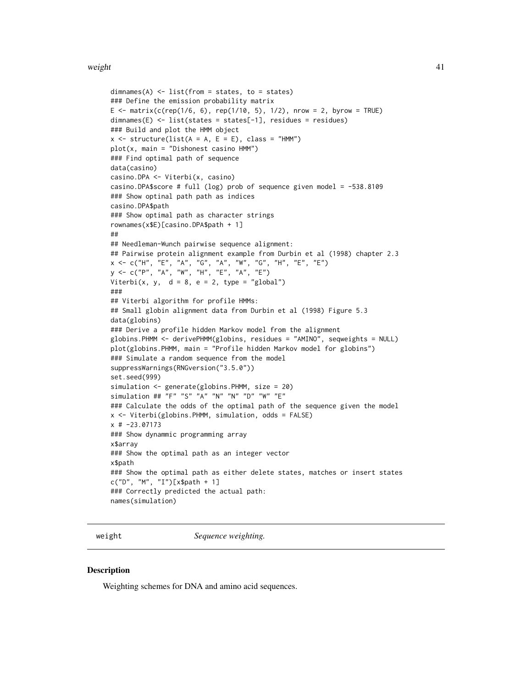#### <span id="page-40-0"></span>weight the contract of the contract of the contract of the contract of the contract of the contract of the contract of the contract of the contract of the contract of the contract of the contract of the contract of the con

```
dimnames(A) \le list(from = states, to = states)
### Define the emission probability matrix
E <- matrix(c(rep(1/6, 6), rep(1/10, 5), 1/2), nrow = 2, byrow = TRUE)
dimnames(E) <- list(states = states[-1], residues = residues)
### Build and plot the HMM object
x \le structure(list(A = A, E = E), class = "HMM")
plot(x, main = "Dishonest casino HMM")
### Find optimal path of sequence
data(casino)
casino.DPA <- Viterbi(x, casino)
casino.DPA$score # full (log) prob of sequence given model = -538.8109
### Show optinal path path as indices
casino.DPA$path
### Show optimal path as character strings
rownames(x$E)[casino.DPA$path + 1]
##
## Needleman-Wunch pairwise sequence alignment:
## Pairwise protein alignment example from Durbin et al (1998) chapter 2.3
x <- c("H", "E", "A", "G", "A", "W", "G", "H", "E", "E")
y <- c("P", "A", "W", "H", "E", "A", "E")
Viterbi(x, y, d = 8, e = 2, type = "global")
###
## Viterbi algorithm for profile HMMs:
## Small globin alignment data from Durbin et al (1998) Figure 5.3
data(globins)
### Derive a profile hidden Markov model from the alignment
globins.PHMM <- derivePHMM(globins, residues = "AMINO", seqweights = NULL)
plot(globins.PHMM, main = "Profile hidden Markov model for globins")
### Simulate a random sequence from the model
suppressWarnings(RNGversion("3.5.0"))
set.seed(999)
simulation <- generate(globins.PHMM, size = 20)
simulation ## "F" "S" "A" "N" "N" "D" "W" "E"
### Calculate the odds of the optimal path of the sequence given the model
x <- Viterbi(globins.PHMM, simulation, odds = FALSE)
x # -23.07173
### Show dynammic programming array
x$array
### Show the optimal path as an integer vector
x$path
### Show the optimal path as either delete states, matches or insert states
c("D", "M", "I")[x$path + 1]
### Correctly predicted the actual path:
names(simulation)
```
weight *Sequence weighting.*

#### Description

Weighting schemes for DNA and amino acid sequences.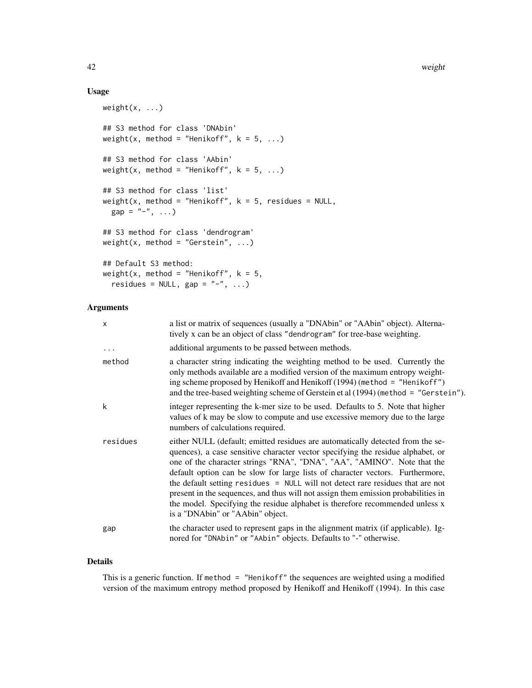# Usage

```
weight(x, \ldots)## S3 method for class 'DNAbin'
weight(x, method = "Henikoff", k = 5, ...)
## S3 method for class 'AAbin'
weight(x, method = "Henikoff", k = 5, ...)
## S3 method for class 'list'
weight(x, method = "Henikoff", k = 5, residues = NULL,
 gap = "-" , ...)## S3 method for class 'dendrogram'
weight(x, method = "Gerstein", ...)## Default S3 method:
weight(x, method = "Henikoff", k = 5,
 residues = NULL, gap = "-", ...)
```
#### Arguments

| $\mathsf{x}$ | a list or matrix of sequences (usually a "DNAbin" or "AAbin" object). Alterna-<br>tively x can be an object of class "dendrogram" for tree-base weighting.                                                                                                                                                                                                                                                                                                                                                                                                                                                               |
|--------------|--------------------------------------------------------------------------------------------------------------------------------------------------------------------------------------------------------------------------------------------------------------------------------------------------------------------------------------------------------------------------------------------------------------------------------------------------------------------------------------------------------------------------------------------------------------------------------------------------------------------------|
| $\ddots$ .   | additional arguments to be passed between methods.                                                                                                                                                                                                                                                                                                                                                                                                                                                                                                                                                                       |
| method       | a character string indicating the weighting method to be used. Currently the<br>only methods available are a modified version of the maximum entropy weight-<br>ing scheme proposed by Henikoff and Henikoff (1994) (method $=$ "Henikoff")<br>and the tree-based weighting scheme of Gerstein et al (1994) (method = "Gerstein").                                                                                                                                                                                                                                                                                       |
| k            | integer representing the k-mer size to be used. Defaults to 5. Note that higher<br>values of k may be slow to compute and use excessive memory due to the large<br>numbers of calculations required.                                                                                                                                                                                                                                                                                                                                                                                                                     |
| residues     | either NULL (default; emitted residues are automatically detected from the se-<br>quences), a case sensitive character vector specifying the residue alphabet, or<br>one of the character strings "RNA", "DNA", "AA", "AMINO". Note that the<br>default option can be slow for large lists of character vectors. Furthermore,<br>the default setting residues = NULL will not detect rare residues that are not<br>present in the sequences, and thus will not assign them emission probabilities in<br>the model. Specifying the residue alphabet is therefore recommended unless x<br>is a "DNAbin" or "AAbin" object. |
| gap          | the character used to represent gaps in the alignment matrix (if applicable). Ig-<br>nored for "DNAbin" or "AAbin" objects. Defaults to "-" otherwise.                                                                                                                                                                                                                                                                                                                                                                                                                                                                   |

#### Details

This is a generic function. If method = "Henikoff" the sequences are weighted using a modified version of the maximum entropy method proposed by Henikoff and Henikoff (1994). In this case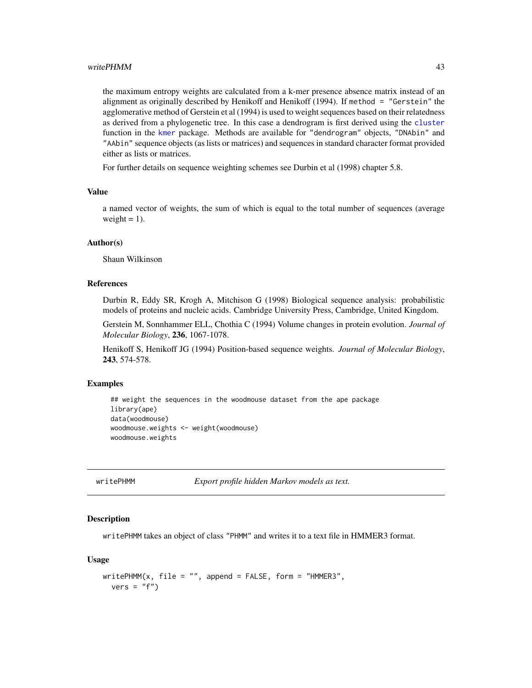<span id="page-42-0"></span>the maximum entropy weights are calculated from a k-mer presence absence matrix instead of an alignment as originally described by Henikoff and Henikoff (1994). If method = "Gerstein" the agglomerative method of Gerstein et al (1994) is used to weight sequences based on their relatedness as derived from a phylogenetic tree. In this case a dendrogram is first derived using the [cluster](#page-0-0) function in the [kmer](#page-0-0) package. Methods are available for "dendrogram" objects, "DNAbin" and "AAbin" sequence objects (as lists or matrices) and sequences in standard character format provided either as lists or matrices.

For further details on sequence weighting schemes see Durbin et al (1998) chapter 5.8.

# Value

a named vector of weights, the sum of which is equal to the total number of sequences (average weight  $= 1$ ).

#### Author(s)

Shaun Wilkinson

# References

Durbin R, Eddy SR, Krogh A, Mitchison G (1998) Biological sequence analysis: probabilistic models of proteins and nucleic acids. Cambridge University Press, Cambridge, United Kingdom.

Gerstein M, Sonnhammer ELL, Chothia C (1994) Volume changes in protein evolution. *Journal of Molecular Biology*, 236, 1067-1078.

Henikoff S, Henikoff JG (1994) Position-based sequence weights. *Journal of Molecular Biology*, 243, 574-578.

#### Examples

```
## weight the sequences in the woodmouse dataset from the ape package
library(ape)
data(woodmouse)
woodmouse.weights <- weight(woodmouse)
woodmouse.weights
```
<span id="page-42-1"></span>writePHMM *Export profile hidden Markov models as text.*

#### Description

writePHMM takes an object of class "PHMM" and writes it to a text file in HMMER3 format.

#### Usage

```
writePHMM(x, file = "", append = FALSE, form = "HMMER3",vers = "f")
```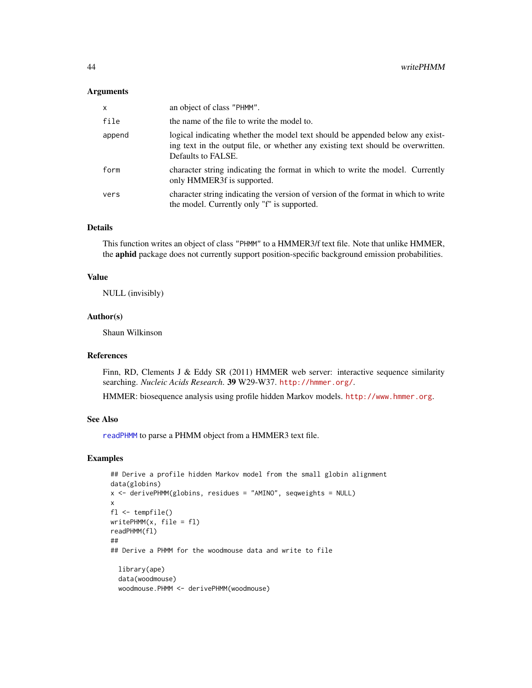#### <span id="page-43-0"></span>**Arguments**

| $\mathsf{x}$ | an object of class "PHMM".                                                                                                                                                              |
|--------------|-----------------------------------------------------------------------------------------------------------------------------------------------------------------------------------------|
| file         | the name of the file to write the model to.                                                                                                                                             |
| append       | logical indicating whether the model text should be appended below any exist-<br>ing text in the output file, or whether any existing text should be overwritten.<br>Defaults to FALSE. |
| form         | character string indicating the format in which to write the model. Currently<br>only HMMER3f is supported.                                                                             |
| vers         | character string indicating the version of version of the format in which to write<br>the model. Currently only "f" is supported.                                                       |

# Details

This function writes an object of class "PHMM" to a HMMER3/f text file. Note that unlike HMMER, the aphid package does not currently support position-specific background emission probabilities.

#### Value

NULL (invisibly)

#### Author(s)

Shaun Wilkinson

# References

Finn, RD, Clements J & Eddy SR (2011) HMMER web server: interactive sequence similarity searching. *Nucleic Acids Research*. 39 W29-W37. <http://hmmer.org/>.

HMMER: biosequence analysis using profile hidden Markov models. <http://www.hmmer.org>.

#### See Also

[readPHMM](#page-30-1) to parse a PHMM object from a HMMER3 text file.

```
## Derive a profile hidden Markov model from the small globin alignment
data(globins)
x <- derivePHMM(globins, residues = "AMINO", seqweights = NULL)
x
f1 \leftarrow \text{template}()writePHMM(x, file = fl)
readPHMM(fl)
##
## Derive a PHMM for the woodmouse data and write to file
  library(ape)
  data(woodmouse)
  woodmouse.PHMM <- derivePHMM(woodmouse)
```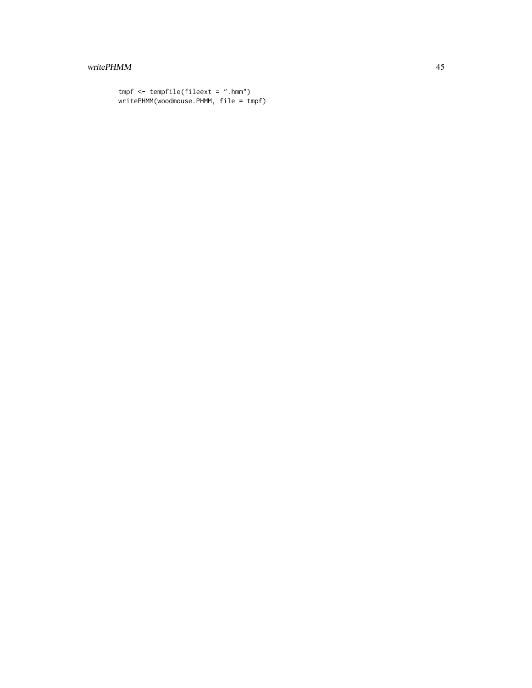# writePHMM 45

```
tmpf <- tempfile(fileext = ".hmm")
writePHMM(woodmouse.PHMM, file = tmpf)
```